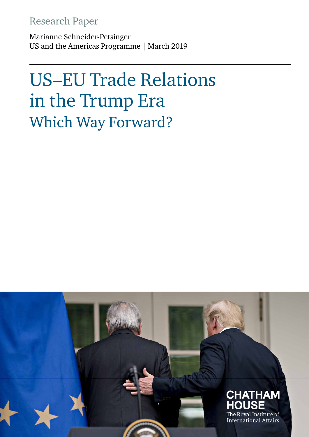### Research Paper

Marianne Schneider-Petsinger US and the Americas Programme | March 2019

# US–EU Trade Relations in the Trump Era Which Way Forward?

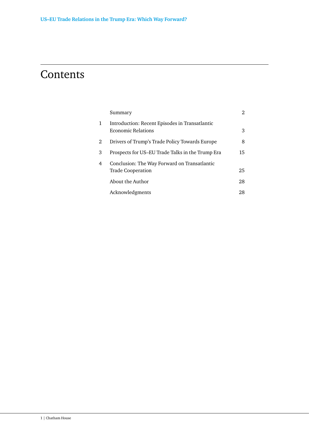### **Contents**

|   | Summary                                                                     | 2  |
|---|-----------------------------------------------------------------------------|----|
| 1 | Introduction: Recent Episodes in Transatlantic<br><b>Economic Relations</b> | 3  |
| 2 | Drivers of Trump's Trade Policy Towards Europe                              | 8  |
| 3 | Prospects for US-EU Trade Talks in the Trump Era                            | 15 |
| 4 | Conclusion: The Way Forward on Transatlantic<br><b>Trade Cooperation</b>    | 25 |
|   | About the Author                                                            | 28 |
|   | Acknowledgments                                                             | 28 |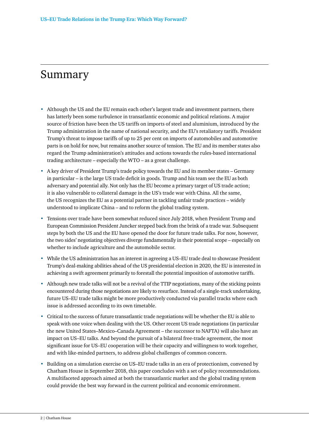### <span id="page-2-0"></span>Summary

- **•** Although the US and the EU remain each other's largest trade and investment partners, there has latterly been some turbulence in transatlantic economic and political relations. A major source of friction have been the US tariffs on imports of steel and aluminium, introduced by the Trump administration in the name of national security, and the EU's retaliatory tariffs. President Trump's threat to impose tariffs of up to 25 per cent on imports of automobiles and automotive parts is on hold for now, but remains another source of tension. The EU and its member states also regard the Trump administration's attitudes and actions towards the rules-based international trading architecture – especially the WTO – as a great challenge.
- **•** A key driver of President Trump's trade policy towards the EU and its member states Germany in particular – is the large US trade deficit in goods. Trump and his team see the EU as both adversary and potential ally. Not only has the EU become a primary target of US trade action; it is also vulnerable to collateral damage in the US's trade war with China. All the same, the US recognizes the EU as a potential partner in tackling unfair trade practices – widely understood to implicate China – and to reform the global trading system.
- **•** Tensions over trade have been somewhat reduced since July 2018, when President Trump and European Commission President Juncker stepped back from the brink of a trade war. Subsequent steps by both the US and the EU have opened the door for future trade talks. For now, however, the two sides' negotiating objectives diverge fundamentally in their potential scope – especially on whether to include agriculture and the automobile sector.
- **•** While the US administration has an interest in agreeing a US–EU trade deal to showcase President Trump's deal-making abilities ahead of the US presidential election in 2020, the EU is interested in achieving a swift agreement primarily to forestall the potential imposition of automotive tariffs.
- **•** Although new trade talks will not be a revival of the TTIP negotiations, many of the sticking points encountered during those negotiations are likely to resurface. Instead of a single-track undertaking, future US–EU trade talks might be more productively conducted via parallel tracks where each issue is addressed according to its own timetable.
- **•** Critical to the success of future transatlantic trade negotiations will be whether the EU is able to speak with one voice when dealing with the US. Other recent US trade negotiations (in particular the new United States–Mexico–Canada Agreement – the successor to NAFTA) will also have an impact on US–EU talks. And beyond the pursuit of a bilateral free-trade agreement, the most significant issue for US–EU cooperation will be their capacity and willingness to work together, and with like-minded partners, to address global challenges of common concern.
- **•** Building on a simulation exercise on US–EU trade talks in an era of protectionism, convened by Chatham House in September 2018, this paper concludes with a set of policy recommendations. A multifaceted approach aimed at both the transatlantic market and the global trading system could provide the best way forward in the current political and economic environment.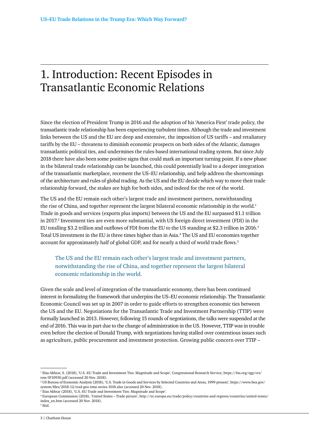## <span id="page-3-0"></span>1. Introduction: Recent Episodes in Transatlantic Economic Relations

Since the election of President Trump in 2016 and the adoption of his 'America First' trade policy, the transatlantic trade relationship has been experiencing turbulent times. Although the trade and investment links between the US and the EU are deep and extensive, the imposition of US tariffs – and retaliatory tariffs by the EU – threatens to diminish economic prospects on both sides of the Atlantic, damages transatlantic political ties, and undermines the rules-based international trading system. But since July 2018 there have also been some positive signs that could mark an important turning point. If a new phase in the bilateral trade relationship can be launched, this could potentially lead to a deeper integration of the transatlantic marketplace, recement the US–EU relationship, and help address the shortcomings of the architecture and rules of global trading. As the US and the EU decide which way to move their trade relationship forward, the stakes are high for both sides, and indeed for the rest of the world.

The US and the EU remain each other's largest trade and investment partners, notwithstanding the rise of China, and together represent the largest bilateral economic relationship in the world.<sup>1</sup> Trade in goods and services (exports plus imports) between the US and the EU surpassed \$1.1 trillion in 2017.<sup>2</sup> Investment ties are even more substantial, with US foreign direct investment (FDI) in the EU totalling \$3.2 trillion and outflows of FDI from the EU to the US standing at \$2.3 trillion in 2016.3 Total US investment in the EU is three times higher than in Asia.4 The US and EU economies together account for approximately half of global GDP, and for nearly a third of world trade flows.5

The US and the EU remain each other's largest trade and investment partners, notwithstanding the rise of China, and together represent the largest bilateral economic relationship in the world.

Given the scale and level of integration of the transatlantic economy, there has been continued interest in formalizing the framework that underpins the US–EU economic relationship. The Transatlantic Economic Council was set up in 2007 in order to guide efforts to strengthen economic ties between the US and the EU. Negotiations for the Transatlantic Trade and Investment Partnership (TTIP) were formally launched in 2013. However, following 15 rounds of negotiations, the talks were suspended at the end of 2016. This was in part due to the change of administration in the US. However, TTIP was in trouble even before the election of Donald Trump, with negotiations having stalled over contentious issues such as agriculture, public procurement and investment protection. Growing public concern over TTIP –

<sup>1</sup> Ilias Akhtar, S. (2018), 'U.S.-EU Trade and Investment Ties: Magnitude and Scope', Congressional Research Service, [https://fas.org/sgp/crs/](https://fas.org/sgp/crs/row/IF10930.pdf) [row/IF10930.pdf](https://fas.org/sgp/crs/row/IF10930.pdf) (accessed 20 Nov. 2018).

<sup>2</sup> US Bureau of Economic Analysis (2018), 'U.S. Trade in Goods and Services by Selected Countries and Areas, 1999-present', [https://www.bea.gov/](https://www.bea.gov/%0asystem/files/2018-12/trad-geo-time-series-1018.xlsx) [system/files/2018-12/trad-geo-time-series-1018.xlsx](https://www.bea.gov/%0asystem/files/2018-12/trad-geo-time-series-1018.xlsx) (accessed 20 Nov. 2018).

<sup>3</sup> Ilias Akhtar (2018), 'U.S.-EU Trade and Investment Ties: Magnitude and Scope'.

<sup>4</sup> European Commission (2018), 'United States – Trade picture', [http://ec.europa.eu/trade/policy/countries-and-regions/countries/united-states/](http://ec.europa.eu/trade/policy/countries-and-regions/countries/united-states/index_en.htm) [index\\_en.htm](http://ec.europa.eu/trade/policy/countries-and-regions/countries/united-states/index_en.htm) (accessed 20 Nov. 2018).

<sup>5</sup> Ibid.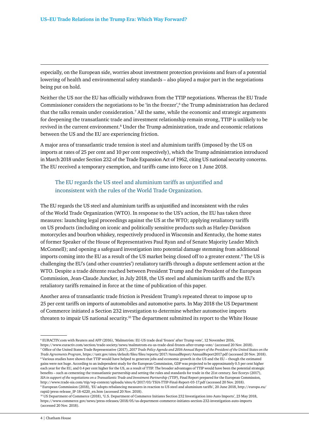especially, on the European side, worries about investment protection provisions and fears of a potential lowering of health and environmental safety standards – also played a major part in the negotiations being put on hold.

Neither the US nor the EU has officially withdrawn from the TTIP negotiations. Whereas the EU Trade Commissioner considers the negotiations to be 'in the freezer',  $6$  the Trump administration has declared that the talks remain under consideration.<sup>7</sup> All the same, while the economic and strategic arguments for deepening the transatlantic trade and investment relationship remain strong, TTIP is unlikely to be revived in the current environment.<sup>8</sup> Under the Trump administration, trade and economic relations between the US and the EU are experiencing friction.

A major area of transatlantic trade tension is steel and aluminium tariffs (imposed by the US on imports at rates of 25 per cent and 10 per cent respectively), which the Trump administration introduced in March 2018 under Section 232 of the Trade Expansion Act of 1962, citing US national security concerns. The EU received a temporary exemption, and tariffs came into force on 1 June 2018.

#### The EU regards the US steel and aluminium tariffs as unjustified and inconsistent with the rules of the World Trade Organization.

The EU regards the US steel and aluminium tariffs as unjustified and inconsistent with the rules of the World Trade Organization (WTO). In response to the US's action, the EU has taken three measures: launching legal proceedings against the US at the WTO; applying retaliatory tariffs on US products (including on iconic and politically sensitive products such as Harley-Davidson motorcycles and bourbon whiskey, respectively produced in Wisconsin and Kentucky, the home states of former Speaker of the House of Representatives Paul Ryan and of Senate Majority Leader Mitch McConnell); and opening a safeguard investigation into potential damage stemming from additional imports coming into the EU as a result of the US market being closed off to a greater extent.<sup>9</sup> The US is challenging the EU's (and other countries') retaliatory tariffs through a dispute settlement action at the WTO. Despite a trade détente reached between President Trump and the President of the European Commission, Jean-Claude Juncker, in July 2018, the US steel and aluminium tariffs and the EU's retaliatory tariffs remained in force at the time of publication of this paper.

Another area of transatlantic trade friction is President Trump's repeated threat to impose up to 25 per cent tariffs on imports of automobiles and automotive parts. In May 2018 the US Department of Commerce initiated a Section 232 investigation to determine whether automotive imports threaten to impair US national security.<sup>10</sup> The department submitted its report to the White House

<sup>6</sup> EURACTIV.com with Reuters and AFP (2016), 'Malmström: EU-US trade deal 'frozen' after Trump vote', 12 November 2016, <https://www.euractiv.com/section/trade-society/news/malmstrom-eu-us-trade-deal-frozen-after-trump-vote/> (accessed 20 Nov. 2018). 7 Office of the United States Trade Representative (2017), *2017 Trade Policy Agenda and 2016 Annual Report of the President of the United States on the Trade Agreements Program*, <https://ustr.gov/sites/default/files/files/reports/2017/AnnualReport/AnnualReport2017.pdf>(accessed 20 Nov. 2018).  $8$  Various studies have shown that TTIP would have helped to generate jobs and economic growth in the US and the EU – though the estimated gains were not huge. According to an independent study for the European Commission, GDP was projected to be approximately 0.5 per cent higher each year for the EU, and 0.4 per cent higher for the US, as a result of TTIP. The broader advantages of TTIP would have been the potential strategic benefits – such as cementing the transatlantic partnership and setting the rules and standards for trade in the 21st century. See Ecorys (2017), *SIA in support of the negotiations on a Transatlantic Trade and Investment Partnership (TTIP),* Final Report prepared for the European Commission, <http://www.trade-sia.com/ttip/wp-content/uploads/sites/6/2017/03/TSIA-TTIP-Final-Report-03-17.pdf>(accessed 20 Nov. 2018). 9 European Commission (2018), 'EU adopts rebalancing measures in reaction to US steel and aluminium tariffs', 20 June 2018, [http://europa.eu/](http://europa.eu/rapid/press-release_IP-18-4220_en.htm) [rapid/press-release\\_IP-18-4220\\_en.htm](http://europa.eu/rapid/press-release_IP-18-4220_en.htm) (accessed 20 Nov. 2018).

<sup>10</sup> US Department of Commerce (2018), 'U.S. Department of Commerce Initiates Section 232 Investigation into Auto Imports', 23 May 2018, <https://www.commerce.gov/news/press-releases/2018/05/us-department-commerce-initiates-section-232-investigation-auto-imports> (accessed 20 Nov. 2018).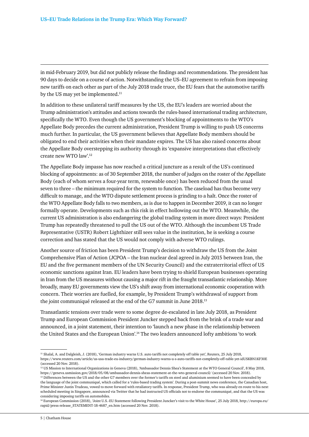in mid-February 2019, but did not publicly release the findings and recommendations. The president has 90 days to decide on a course of action. Notwithstanding the US–EU agreement to refrain from imposing new tariffs on each other as part of the July 2018 trade truce, the EU fears that the automotive tariffs by the US may yet be implemented.<sup>11</sup>

In addition to these unilateral tariff measures by the US, the EU's leaders are worried about the Trump administration's attitudes and actions towards the rules-based international trading architecture, specifically the WTO. Even though the US government's blocking of appointments to the WTO's Appellate Body precedes the current administration, President Trump is willing to push US concerns much further. In particular, the US government believes that Appellate Body members should be obligated to end their activities when their mandate expires. The US has also raised concerns about the Appellate Body overstepping its authority through its 'expansive interpretations that effectively create new WTO law'.12

The Appellate Body impasse has now reached a critical juncture as a result of the US's continued blocking of appointments: as of 30 September 2018, the number of judges on the roster of the Appellate Body (each of whom serves a four-year term, renewable once) has been reduced from the usual seven to three – the minimum required for the system to function. The caseload has thus become very difficult to manage, and the WTO dispute settlement process is grinding to a halt. Once the roster of the WTO Appellate Body falls to two members, as is due to happen in December 2019, it can no longer formally operate. Developments such as this risk in effect hollowing out the WTO. Meanwhile, the current US administration is also endangering the global trading system in more direct ways: President Trump has repeatedly threatened to pull the US out of the WTO. Although the incumbent US Trade Representative (USTR) Robert Lighthizer still sees value in the institution, he is seeking a course correction and has stated that the US would not comply with adverse WTO rulings.

Another source of friction has been President Trump's decision to withdraw the US from the Joint Comprehensive Plan of Action (JCPOA – the Iran nuclear deal agreed in July 2015 between Iran, the EU and the five permanent members of the UN Security Council) and the extraterritorial effect of US economic sanctions against Iran. EU leaders have been trying to shield European businesses operating in Iran from the US measures without causing a major rift in the fraught transatlantic relationship. More broadly, many EU governments view the US's shift away from international economic cooperation with concern. Their worries are fuelled, for example, by President Trump's withdrawal of support from the joint communiqué released at the end of the G7 summit in June 2018.13

Transatlantic tensions over trade were to some degree de-escalated in late July 2018, as President Trump and European Commission President Juncker stepped back from the brink of a trade war and announced, in a joint statement, their intention to 'launch a new phase in the relationship between the United States and the European Union'.<sup>14</sup> The two leaders announced lofty ambitions 'to work

<sup>11</sup> Shalal, A. and Dalgleish, J. (2018), 'German industry warns U.S. auto tariffs not completely off table yet', Reuters, 25 July 2018, <https://www.reuters.com/article/us-usa-trade-eu-industry/german-industry-warns-u-s-auto-tariffs-not-completely-off-table-yet-idUSKBN1KF30E> (accessed 20 Nov. 2018).

<sup>12</sup> US Mission to International Organizations in Geneva (2018), 'Ambassador Dennis Shea's Statement at the WTO General Council', 8 May 2018, <https://geneva.usmission.gov/2018/05/08/ambassador-dennis-sheas-statement-at-the-wto-general-council/>(accessed 20 Nov. 2018).

<sup>&</sup>lt;sup>13</sup> Differences between the US and the other G7 members over the former's tariffs on steel and aluminium seemed to have been concealed by the language of the joint communiqué, which called for a 'rules-based trading system'. During a post-summit news conference, the Canadian host, Prime Minister Justin Trudeau, vowed to move forward with retaliatory tariffs. In response, President Trump, who was already en route to his next scheduled meeting in Singapore, announced via Twitter that he had instructed US officials not to endorse the communiqué, and that the US was considering imposing tariffs on automobiles.

<sup>14</sup> European Commission (2018), 'Joint U.S.-EU Statement following President Juncker's visit to the White House', 25 July 2018, [http://europa.eu/](http://europa.eu/rapid/press-release_STATEMENT-18-4687_en.htm) [rapid/press-release\\_STATEMENT-18-4687\\_en.htm](http://europa.eu/rapid/press-release_STATEMENT-18-4687_en.htm) (accessed 20 Nov. 2018).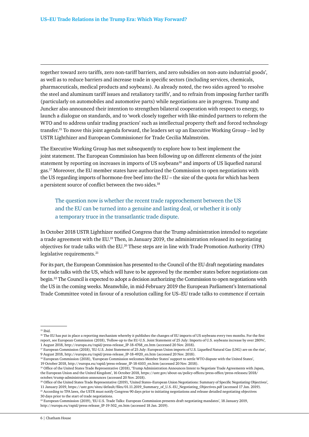together toward zero tariffs, zero non-tariff barriers, and zero subsidies on non-auto industrial goods', as well as to reduce barriers and increase trade in specific sectors (including services, chemicals, pharmaceuticals, medical products and soybeans). As already noted, the two sides agreed 'to resolve the steel and aluminum tariff issues and retaliatory tariffs', and to refrain from imposing further tariffs (particularly on automobiles and automotive parts) while negotiations are in progress. Trump and Juncker also announced their intention to strengthen bilateral cooperation with respect to energy, to launch a dialogue on standards, and to 'work closely together with like-minded partners to reform the WTO and to address unfair trading practices' such as intellectual property theft and forced technology transfer.15 To move this joint agenda forward, the leaders set up an Executive Working Group – led by USTR Lighthizer and European Commissioner for Trade Cecilia Malmström.

The Executive Working Group has met subsequently to explore how to best implement the joint statement. The European Commission has been following up on different elements of the joint statement by reporting on increases in imports of US soybeans<sup>16</sup> and imports of US liquefied natural gas.17 Moreover, the EU member states have authorized the Commission to open negotiations with the US regarding imports of hormone-free beef into the EU – the size of the quota for which has been a persistent source of conflict between the two sides.<sup>18</sup>

The question now is whether the recent trade rapprochement between the US and the EU can be turned into a genuine and lasting deal, or whether it is only a temporary truce in the transatlantic trade dispute.

In October 2018 USTR Lighthizer notified Congress that the Trump administration intended to negotiate a trade agreement with the EU.19 Then, in January 2019, the administration released its negotiating objectives for trade talks with the EU.<sup>20</sup> These steps are in line with Trade Promotion Authority (TPA) legislative requirements.<sup>21</sup>

For its part, the European Commission has presented to the Council of the EU draft negotiating mandates for trade talks with the US, which will have to be approved by the member states before negotiations can begin.22 The Council is expected to adopt a decision authorizing the Commission to open negotiations with the US in the coming weeks. Meanwhile, in mid-February 2019 the European Parliament's International Trade Committee voted in favour of a resolution calling for US–EU trade talks to commence if certain

30 days prior to the start of trade negotiations.

<sup>15</sup> Ibid.

<sup>&</sup>lt;sup>16</sup> The EU has put in place a reporting mechanism whereby it publishes the changes of EU imports of US soybeans every two months. For the first report, see European Commission (2018), 'Follow-up to the EU-U.S. Joint Statement of 25 July: Imports of U.S. soybeans increase by over 280%', 1 August 2018, [http://europa.eu/rapid/press-release\\_IP-18-4768\\_en.htm](http://europa.eu/rapid/press-release_IP-18-4768_en.htm) (accessed 20 Nov. 2018).

<sup>&</sup>lt;sup>17</sup> European Commission (2018), 'EU-U.S. Joint Statement of 25 July: European Union imports of U.S. Liquefied Natural Gas (LNG) are on the rise', 9 August 2018, [http://europa.eu/rapid/press-release\\_IP-18-4920\\_en.htm](http://europa.eu/rapid/press-release_IP-18-4920_en.htm) (accessed 20 Nov. 2018).

<sup>18</sup> European Commission (2018), 'European Commission welcomes Member States' support to settle WTO dispute with the United States', 19 October 2018, [http://europa.eu/rapid/press-release\\_IP-18-6103\\_en.htm](http://europa.eu/rapid/press-release_IP-18-6103_en.htm) (accessed 20 Nov. 2018).

<sup>19</sup> Office of the United States Trade Representative (2018), 'Trump Administration Announces Intent to Negotiate Trade Agreements with Japan, the European Union and the United Kingdom', 16 October 2018, [https://ustr.gov/about-us/policy-offices/press-office/press-releases/2018/](https://ustr.gov/about-us/policy-offices/press-office/press-releases/2018/october/trump-administration-announces) [october/trump-administration-announces](https://ustr.gov/about-us/policy-offices/press-office/press-releases/2018/october/trump-administration-announces) (accessed 20 Nov. 2018).

<sup>&</sup>lt;sup>20</sup> Office of the United States Trade Representative (2019), 'United States–European Union Negotiations: Summary of Specific Negotiating Objectives', 11 January 2019, [https://ustr.gov/sites/default/files/01.11.2019\\_Summary\\_of\\_U.S.-EU\\_Negotiating\\_Objectives.pdf](https://ustr.gov/sites/default/files/01.11.2019_Summary_of_U.S.-EU_Negotiating_Objectives.pdf) (accessed 17 Jan. 2019). <sup>21</sup> According to TPA laws, the USTR must notify Congress 90 days prior to initiating negotiations and release detailed negotiating objectives

<sup>22</sup> European Commission (2019), 'EU-U.S. Trade Talks: European Commission presents draft negotiating mandates', 18 January 2019, [http://europa.eu/rapid/press-release\\_IP-19-502\\_en.htm](http://europa.eu/rapid/press-release_IP-19-502_en.htm) (accessed 18 Jan. 2019).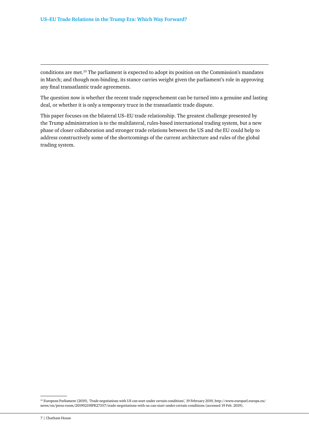conditions are met.<sup>23</sup> The parliament is expected to adopt its position on the Commission's mandates in March; and though non-binding, its stance carries weight given the parliament's role in approving any final transatlantic trade agreements.

The question now is whether the recent trade rapprochement can be turned into a genuine and lasting deal, or whether it is only a temporary truce in the transatlantic trade dispute.

This paper focuses on the bilateral US–EU trade relationship. The greatest challenge presented by the Trump administration is to the multilateral, rules-based international trading system, but a new phase of closer collaboration and stronger trade relations between the US and the EU could help to address constructively some of the shortcomings of the current architecture and rules of the global trading system.

<sup>23</sup> European Parliament (2019), 'Trade negotiations with US can start under certain conditions', 19 February 2019, [http://www.europarl.europa.eu/](http://www.europarl.europa.eu/news/en/press-room/20190219IPR27357/trade-negotiations-with-us-can-start-under-certain-conditions) [news/en/press-room/20190219IPR27357/trade-negotiations-with-us-can-start-under-certain-conditions](http://www.europarl.europa.eu/news/en/press-room/20190219IPR27357/trade-negotiations-with-us-can-start-under-certain-conditions) (accessed 19 Feb. 2019).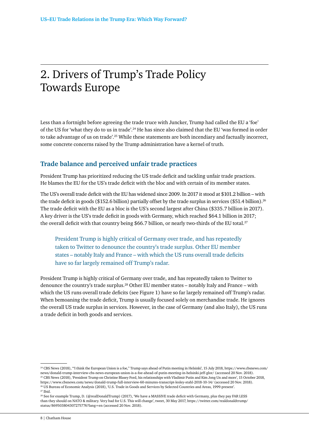# <span id="page-8-0"></span>2. Drivers of Trump's Trade Policy Towards Europe

Less than a fortnight before agreeing the trade truce with Juncker, Trump had called the EU a 'foe' of the US for 'what they do to us in trade'.24 He has since also claimed that the EU 'was formed in order to take advantage of us on trade'.25 While these statements are both incendiary and factually incorrect, some concrete concerns raised by the Trump administration have a kernel of truth.

### **Trade balance and perceived unfair trade practices**

President Trump has prioritized reducing the US trade deficit and tackling unfair trade practices. He blames the EU for the US's trade deficit with the bloc and with certain of its member states.

The US's overall trade deficit with the EU has widened since 2009. In 2017 it stood at \$101.2 billion – with the trade deficit in goods (\$152.6 billion) partially offset by the trade surplus in services (\$51.4 billion).<sup>26</sup> The trade deficit with the EU as a bloc is the US's second largest after China (\$335.7 billion in 2017). A key driver is the US's trade deficit in goods with Germany, which reached \$64.1 billion in 2017; the overall deficit with that country being \$66.7 billion, or nearly two-thirds of the EU total.<sup>27</sup>

President Trump is highly critical of Germany over trade, and has repeatedly taken to Twitter to denounce the country's trade surplus. Other EU member states – notably Italy and France – with which the US runs overall trade deficits have so far largely remained off Trump's radar.

President Trump is highly critical of Germany over trade, and has repeatedly taken to Twitter to denounce the country's trade surplus.28 Other EU member states – notably Italy and France – with which the US runs overall trade deficits (see Figure 1) have so far largely remained off Trump's radar. When bemoaning the trade deficit, Trump is usually focused solely on merchandise trade. He ignores the overall US trade surplus in services. However, in the case of Germany (and also Italy), the US runs a trade deficit in both goods and services.

<sup>&</sup>lt;sup>24</sup> CBS News (2018), "I think the European Union is a foe," Trump says ahead of Putin meeting in Helsinki', 15 July 2018, [https://www.cbsnews.com/](https://www.cbsnews.com/news/donald-trump-interview-cbs-news-european-union-is-a-foe-ahead-of-putin-meeting-in-helsinki-jeff-glor/) [news/donald-trump-interview-cbs-news-european-union-is-a-foe-ahead-of-putin-meeting-in-helsinki-jeff-glor/](https://www.cbsnews.com/news/donald-trump-interview-cbs-news-european-union-is-a-foe-ahead-of-putin-meeting-in-helsinki-jeff-glor/) (accessed 20 Nov. 2018). <sup>25</sup> CBS News (2018), 'President Trump on Christine Blasey Ford, his relationships with Vladimir Putin and Kim Jong Un and more', 15 October 2018,

<https://www.cbsnews.com/news/donald-trump-full-interview-60-minutes-transcript-lesley-stahl-2018-10-14/>(accessed 20 Nov. 2018). 26 US Bureau of Economic Analysis (2018), 'U.S. Trade in Goods and Services by Selected Countries and Areas, 1999-present'. <sup>27</sup> Ibid.

<sup>&</sup>lt;sup>28</sup> See for example Trump, D. (@realDonaldTrump) (2017), 'We have a MASSIVE trade deficit with Germany, plus they pay FAR LESS than they should on NATO & military. Very bad for U.S. This will change', tweet, 30 May 2017, [https://twitter.com/realdonaldtrump/](https://twitter.com/realdonaldtrump/status/869503804307275776?lang=en) [status/869503804307275776?lang=en](https://twitter.com/realdonaldtrump/status/869503804307275776?lang=en) (accessed 20 Nov. 2018).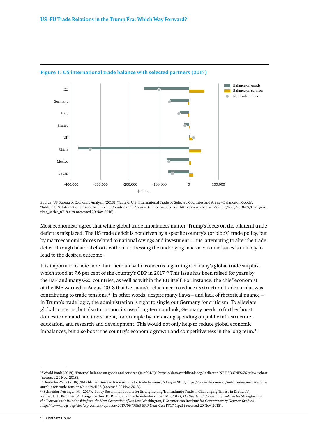

#### **Figure 1: US international trade balance with selected partners (2017)**

Source: US Bureau of Economic Analysis (2018), 'Table 6. U.S. International Trade by Selected Countries and Areas – Balance on Goods', 'Table 9. U.S. International Trade by Selected Countries and Areas – Balance on Services', [https://www.bea.gov/system/files/2018-09/trad\\_geo\\_](https://www.bea.gov/system/files/2018-09/trad_geo_time_series_0718.xlsx) [time\\_series\\_0718.xlsx](https://www.bea.gov/system/files/2018-09/trad_geo_time_series_0718.xlsx) (accessed 20 Nov. 2018).

Most economists agree that while global trade imbalances matter, Trump's focus on the bilateral trade deficit is misplaced. The US trade deficit is not driven by a specific country's (or bloc's) trade policy, but by macroeconomic forces related to national savings and investment. Thus, attempting to alter the trade deficit through bilateral efforts without addressing the underlying macroeconomic issues is unlikely to lead to the desired outcome.

It is important to note here that there are valid concerns regarding Germany's global trade surplus, which stood at 7.6 per cent of the country's GDP in 2017.<sup>29</sup> This issue has been raised for years by the IMF and many G20 countries, as well as within the EU itself. For instance, the chief economist at the IMF warned in August 2018 that Germany's reluctance to reduce its structural trade surplus was contributing to trade tensions.30 In other words, despite many flaws – and lack of rhetorical nuance – in Trump's trade logic, the administration is right to single out Germany for criticism. To alleviate global concerns, but also to support its own long-term outlook, Germany needs to further boost domestic demand and investment, for example by increasing spending on public infrastructure, education, and research and development. This would not only help to reduce global economic imbalances, but also boost the country's economic growth and competitiveness in the long term.<sup>31</sup>

<sup>29</sup> World Bank (2018), 'External balance on goods and services (% of GDP)',<https://data.worldbank.org/indicator/NE.RSB.GNFS.ZS?view=chart> (accessed 20 Nov. 2018).

<sup>30</sup> Deutsche Welle (2018), 'IMF blames German trade surplus for trade tensions', 6 August 2018, [https://www.dw.com/en/imf-blames-german-trade](https://www.dw.com/en/imf-blames-german-trade-%0asurplus-for-trade-tensions/a-44964156)[surplus-for-trade-tensions/a-44964156](https://www.dw.com/en/imf-blames-german-trade-%0asurplus-for-trade-tensions/a-44964156) (accessed 20 Nov. 2018).

<sup>31</sup> Schneider-Petsinger, M. (2017), 'Policy Recommendations for Strengthening Transatlantic Trade in Challenging Times', in Dreher, V., Kantel, A. J., Kirchner, M., Langenbacher, E., Rizzo, R. and Schneider-Petsinger, M. (2017), *The Specter of Uncertainty: Policies for Strengthening the Transatlantic Relationship from the Next Generation of Leaders*, Washington, DC: American Institute for Contemporary German Studies, <http://www.aicgs.org/site/wp-content/uploads/2017/06/PR65-ERP-Next-Gen-FY17-1.pdf>(accessed 20 Nov. 2018).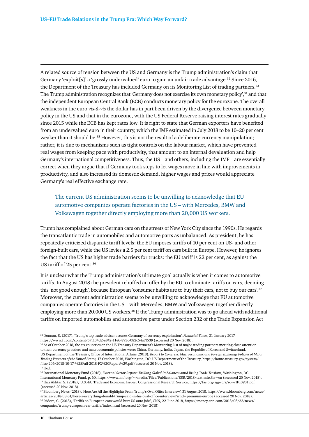A related source of tension between the US and Germany is the Trump administration's claim that Germany 'exploit[s]' a 'grossly undervalued' euro to gain an unfair trade advantage.<sup>32</sup> Since 2016, the Department of the Treasury has included Germany on its Monitoring List of trading partners.33 The Trump administration recognizes that 'Germany does not exercise its own monetary policy',34 and that the independent European Central Bank (ECB) conducts monetary policy for the eurozone. The overall weakness in the euro *vis-à-vis* the dollar has in part been driven by the divergence between monetary policy in the US and that in the eurozone, with the US Federal Reserve raising interest rates gradually since 2015 while the ECB has kept rates low. It is right to state that German exporters have benefited from an undervalued euro in their country, which the IMF estimated in July 2018 to be 10–20 per cent weaker than it should be.<sup>35</sup> However, this is not the result of a deliberate currency manipulation; rather, it is due to mechanisms such as tight controls on the labour market, which have prevented real wages from keeping pace with productivity, that amount to an internal devaluation and help Germany's international competitiveness. Thus, the US – and others, including the IMF – are essentially correct when they argue that if Germany took steps to let wages move in line with improvements in productivity, and also increased its domestic demand, higher wages and prices would appreciate Germany's real effective exchange rate.

The current US administration seems to be unwilling to acknowledge that EU automotive companies operate factories in the US – with Mercedes, BMW and Volkswagen together directly employing more than 20,000 US workers.

Trump has complained about German cars on the streets of New York City since the 1990s. He regards the transatlantic trade in automobiles and automotive parts as unbalanced. As president, he has repeatedly criticized disparate tariff levels: the EU imposes tariffs of 10 per cent on US- and other foreign-built cars, while the US levies a 2.5 per cent tariff on cars built in Europe. However, he ignores the fact that the US has higher trade barriers for trucks: the EU tariff is 22 per cent, as against the US tariff of 25 per cent.<sup>36</sup>

It is unclear what the Trump administration's ultimate goal actually is when it comes to automotive tariffs. In August 2018 the president rebuffed an offer by the EU to eliminate tariffs on cars, deeming this 'not good enough', because European 'consumer habits are to buy their cars, not to buy our cars'.37 Moreover, the current administration seems to be unwilling to acknowledge that EU automotive companies operate factories in the US – with Mercedes, BMW and Volkswagen together directly employing more than 20,000 US workers.<sup>38</sup> If the Trump administration was to go ahead with additional tariffs on imported automobiles and automotive parts under Section 232 of the Trade Expansion Act

<sup>32</sup> Donnan, S. (2017), 'Trump's top trade adviser accuses Germany of currency exploitation', *Financial Times*, 31 January 2017, <https://www.ft.com/content/57f104d2-e742-11e6-893c-082c54a7f539>(accessed 20 Nov. 2018).

<sup>&</sup>lt;sup>33</sup> As of October 2018, the six countries on the US Treasury Department's Monitoring List of major trading partners meriting close attention to their currency practices and macroeconomic policies were: China, Germany, India, Japan, the Republic of Korea and Switzerland. US Department of the Treasury, Office of International Affairs (2018), *Report to Congress: Macroeconomic and Foreign Exchange Policies of Major Trading Partners of the United States,* 17 October 2018, Washington, DC: US Department of the Treasury, [https://home.treasury.gov/system/](https://home.treasury.gov/system/files/206/2018-10-17-%28Fall-2018-FX%20Report%29.pdf) [files/206/2018-10-17-%28Fall-2018-FX%20Report%29.pdf](https://home.treasury.gov/system/files/206/2018-10-17-%28Fall-2018-FX%20Report%29.pdf) (accessed 20 Nov. 2018). 34 Ibid.

<sup>35</sup> International Monetary Fund (2018), *External Sector Report: Tackling Global Imbalances amid Rising Trade Tensions*, Washington, DC: International Monetary Fund, p. 60,<https://www.imf.org/~/media/Files/Publications/ESR/2018/text.ashx?la=en> (accessed 20 Nov. 2018). 36 Ilias Akhtar, S. (2018), 'U.S.-EU Trade and Economic Issues', Congressional Research Service,<https://fas.org/sgp/crs/row/IF10931.pdf> (accessed 20 Nov. 2018).

<sup>37</sup> Bloomberg News (2018), 'Here Are All the Highlights From Trump's Oval Office Interview', 31 August 2018, [https://www.bloomberg.com/news/](https://www.bloomberg.com/news/%0aarticles/2018-08-31/here-s-everything-donald-trump-said-in-his-oval-office-interview?srnd=premium-europe) [articles/2018-08-31/here-s-everything-donald-trump-said-in-his-oval-office-interview?srnd=premium-europe](https://www.bloomberg.com/news/%0aarticles/2018-08-31/here-s-everything-donald-trump-said-in-his-oval-office-interview?srnd=premium-europe) (accessed 20 Nov. 2018). 38 Isidore, C. (2018), 'Tariffs on European cars would hurt US auto jobs', CNN, 22 June 2018, [https://money.cnn.com/2018/06/22/news/](https://money.cnn.com/2018/06/22/news/companies/trump-european-car-tariffs/index.html) [companies/trump-european-car-tariffs/index.html](https://money.cnn.com/2018/06/22/news/companies/trump-european-car-tariffs/index.html) (accessed 20 Nov. 2018).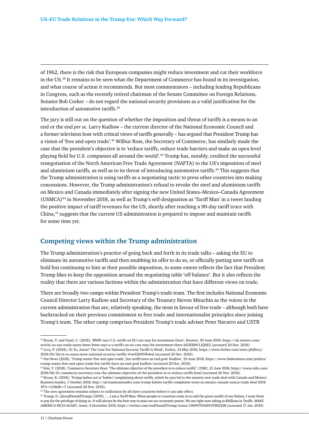of 1962, there is the risk that European companies might reduce investment and cut their workforce in the US.39 It remains to be seen what the Department of Commerce has found in its investigation, and what course of action it recommends. But most commentators – including leading Republicans in Congress, such as the recently retired chairman of the Senate Committee on Foreign Relations, Senator Bob Corker – do not regard the national security provisions as a valid justification for the introduction of automotive tariffs.40

The jury is still out on the question of whether the imposition and threat of tariffs is a means to an end or the end *per se*. Larry Kudlow – the current director of the National Economic Council and a former television host with critical views of tariffs generally – has argued that President Trump has a vision of 'free and open trade'.41 Wilbur Ross, the Secretary of Commerce, has similarly made the case that the president's objective is to 'reduce tariffs, reduce trade barriers and make an open level playing field for U.S. companies all around the world'.42 Trump has, notably, credited the successful renegotiation of the North American Free Trade Agreement (NAFTA) to the US's imposition of steel and aluminium tariffs, as well as to its threat of introducing automotive tariffs.43 This suggests that the Trump administration is using tariffs as a negotiating tactic to press other countries into making concessions. However, the Trump administration's refusal to revoke the steel and aluminium tariffs on Mexico and Canada immediately after signing the new United States–Mexico–Canada Agreement (USMCA)44 in November 2018, as well as Trump's self-designation as 'Tariff Man' in a tweet lauding the positive impact of tariff revenues for the US, shortly after reaching a 90-day tariff truce with China,45 suggests that the current US administration is prepared to impose and maintain tariffs for some time yet.

#### **Competing views within the Trump administration**

The Trump administration's practice of going back and forth in its trade talks – asking the EU to eliminate its automotive tariffs and then snubbing its offer to do so, or officially putting new tariffs on hold but continuing to hint at their possible imposition, to some extent reflects the fact that President Trump likes to keep the opposition around the negotiating table 'off balance'. But it also reflects the reality that there are various factions within the administration that have different views on trade.

There are broadly two camps within President Trump's trade team. The first includes National Economic Council Director Larry Kudlow and Secretary of the Treasury Steven Mnuchin as the voices in the current administration that are, relatively speaking, the most in favour of free trade – although both have backtracked on their previous commitment to free trade and internationalist principles since joining Trump's team. The other camp comprises President Trump's trade adviser Peter Navarro and USTR

<sup>44</sup> The new agreement remains subject to ratification by all three countries before it can take effect.

<sup>39</sup> Bryan, V. and Oziel, C. (2018), 'BMW says U.S. tariffs on EU cars may hit investment there', Reuters, 30 June 2018, [https://uk.reuters.com/](https://uk.reuters.com/article/us-usa-trade-autos-bmw/bmw-says-u-s-tariffs-on-eu-cars-may-hit-investment-there-idUKKBN1JQ0EZ) [article/us-usa-trade-autos-bmw/bmw-says-u-s-tariffs-on-eu-cars-may-hit-investment-there-idUKKBN1JQ0EZ](https://uk.reuters.com/article/us-usa-trade-autos-bmw/bmw-says-u-s-tariffs-on-eu-cars-may-hit-investment-there-idUKKBN1JQ0EZ) (accessed 20 Nov. 2018). 40 Levy, P. (2018), 'Et Tu, Autos? The Case For National Security Tariffs Is Weak', Forbes, 24 May 2018, [https://www.forbes.com/sites/phillevy/](https://www.forbes.com/sites/phillevy/
2018/05/24/et-tu-autos-more-national-security-tariffs/#ee926959b4ed) [2018/05/24/et-tu-autos-more-national-security-tariffs/#ee926959b4ed](https://www.forbes.com/sites/phillevy/
2018/05/24/et-tu-autos-more-national-security-tariffs/#ee926959b4ed) (accessed 20 Nov. 2018).

<sup>41</sup> Fox News (2018), 'Trump wants 'free and open trade', but tariffs have an end goal: Kudlow', 29 June 2018, [https://www.foxbusiness.com/politics/](https://www.foxbusiness.com/politics/%0atrump-wants-free-and-open-trade-but-tariffs-have-an-end-goal-kudlow) [trump-wants-free-and-open-trade-but-tariffs-have-an-end-goal-kudlow](https://www.foxbusiness.com/politics/%0atrump-wants-free-and-open-trade-but-tariffs-have-an-end-goal-kudlow) (accessed 20 Nov. 2018).

<sup>42</sup> Kim, T. (2018), 'Commerce Secretary Ross: 'The ultimate objective of the president is to reduce tariffs'', CNBC, 21 June 2018, [https://www.cnbc.com/](https://www.cnbc.com/%0a2018/06/21/commerce-secretary-ross-the-ultimate-objective-of-the-president-is-to-reduce-tariffs.html) [2018/06/21/commerce-secretary-ross-the-ultimate-objective-of-the-president-is-to-reduce-tariffs.html](https://www.cnbc.com/%0a2018/06/21/commerce-secretary-ross-the-ultimate-objective-of-the-president-is-to-reduce-tariffs.html) (accessed 20 Nov. 2018).

<sup>43</sup> Bryan, B. (2018), 'Trump lashes out at 'babies' complaining about tariffs, which he says led to the massive new trade deal with Canada and Mexico', Business Insider, 1 October 2018, [http://uk.businessinsider.com/trump-babies-tariffs-complaints-touts-us-mexico-canada-usmca-trade-deal-2018-](http://uk.businessinsider.com/trump-babies-tariffs-complaints-touts-us-mexico-canada-usmca-trade-deal-2018-10?r=US&IR=T) [10?r=US&IR=T](http://uk.businessinsider.com/trump-babies-tariffs-complaints-touts-us-mexico-canada-usmca-trade-deal-2018-10?r=US&IR=T) (accessed 20 Nov. 2018).

<sup>45</sup> Trump, D. (@realDonaldTrump) (2018), '....I am a Tariff Man. When people or countries come in to raid the great wealth of our Nation, I want them to pay for the privilege of doing so. It will always be the best way to max out our economic power. We are right now taking in \$billions in Tariffs. MAKE AMERICA RICH AGAIN', tweet, 4 December 2018,<https://twitter.com/realDonaldTrump/status/1069970500535902208> (accessed 17 Jan. 2019).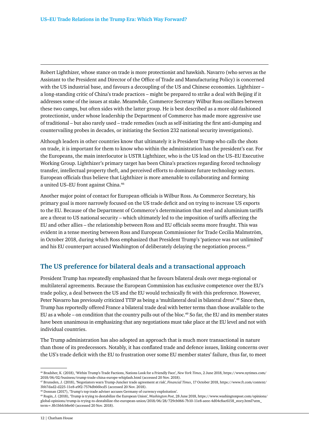Robert Lighthizer, whose stance on trade is more protectionist and hawkish. Navarro (who serves as the Assistant to the President and Director of the Office of Trade and Manufacturing Policy) is concerned with the US industrial base, and favours a decoupling of the US and Chinese economies. Lighthizer – a long-standing critic of China's trade practices – might be prepared to strike a deal with Beijing if it addresses some of the issues at stake. Meanwhile, Commerce Secretary Wilbur Ross oscillates between these two camps, but often sides with the latter group. He is best described as a more old-fashioned protectionist, under whose leadership the Department of Commerce has made more aggressive use of traditional – but also rarely used – trade remedies (such as self-initiating the first anti-dumping and countervailing probes in decades, or initiating the Section 232 national security investigations).

Although leaders in other countries know that ultimately it is President Trump who calls the shots on trade, it is important for them to know who within the administration has the president's ear. For the Europeans, the main interlocutor is USTR Lighthizer, who is the US lead on the US–EU Executive Working Group. Lighthizer's primary target has been China's practices regarding forced technology transfer, intellectual property theft, and perceived efforts to dominate future technology sectors. European officials thus believe that Lighthizer is more amenable to collaborating and forming a united US–EU front against China.46

Another major point of contact for European officials is Wilbur Ross. As Commerce Secretary, his primary goal is more narrowly focused on the US trade deficit and on trying to increase US exports to the EU. Because of the Department of Commerce's determination that steel and aluminium tariffs are a threat to US national security – which ultimately led to the imposition of tariffs affecting the EU and other allies – the relationship between Ross and EU officials seems more fraught. This was evident in a tense meeting between Ross and European Commissioner for Trade Cecilia Malmström, in October 2018, during which Ross emphasized that President Trump's 'patience was not unlimited' and his EU counterpart accused Washington of deliberately delaying the negotiation process.<sup>47</sup>

#### **The US preference for bilateral deals and a transactional approach**

President Trump has repeatedly emphasized that he favours bilateral deals over mega-regional or multilateral agreements. Because the European Commission has exclusive competence over the EU's trade policy, a deal between the US and the EU would technically fit with this preference. However, Peter Navarro has previously criticized TTIP as being a 'multilateral deal in bilateral dress'.48 Since then, Trump has reportedly offered France a bilateral trade deal with better terms than those available to the EU as a whole – on condition that the country pulls out of the bloc.<sup>49</sup> So far, the EU and its member states have been unanimous in emphasizing that any negotiations must take place at the EU level and not with individual countries.

The Trump administration has also adopted an approach that is much more transactional in nature than those of its predecessors. Notably, it has conflated trade and defence issues, linking concerns over the US's trade deficit with the EU to frustration over some EU member states' failure, thus far, to meet

49 Rogin, J. (2018), 'Trump is trying to destabilize the European Union', *Washington Post*, 28 June 2018, [https://www.washingtonpost.com/opinions/](https://www.washingtonpost.com/%0aopinions/global-opinions/trump-is-trying-to-destabilize-the-european-union/2018/06/28/729cb066-7b10-11e8-aeee-4d04c8ac6158_story.html?utm_term=.8b1bbfcb8e60) [global-opinions/trump-is-trying-to-destabilize-the-european-union/2018/06/28/729cb066-7b10-11e8-aeee-4d04c8ac6158\\_story.html?utm\\_](https://www.washingtonpost.com/%0aopinions/global-opinions/trump-is-trying-to-destabilize-the-european-union/2018/06/28/729cb066-7b10-11e8-aeee-4d04c8ac6158_story.html?utm_term=.8b1bbfcb8e60) [term=.8b1bbfcb8e60](https://www.washingtonpost.com/%0aopinions/global-opinions/trump-is-trying-to-destabilize-the-european-union/2018/06/28/729cb066-7b10-11e8-aeee-4d04c8ac6158_story.html?utm_term=.8b1bbfcb8e60) (accessed 20 Nov. 2018).

<sup>46</sup> Bradsher, K. (2018), 'Within Trump's Trade Factions, Nations Look for a Friendly Face', *New York Times*, 2 June 2018, [https://www.nytimes.com/](https://www.nytimes.com/%0a2018/06/02/business/trump-trade-china-europe-whiplash.html) [2018/06/02/business/trump-trade-china-europe-whiplash.html](https://www.nytimes.com/%0a2018/06/02/business/trump-trade-china-europe-whiplash.html) (accessed 20 Nov. 2018).

<sup>47</sup> Brunsden, J. (2018), 'Negotiators warn Trump-Juncker trade agreement at risk', *Financial Times*, 17 October 2018, [https://www.ft.com/content/](https://www.ft.com/content/%0a3bb7dad2-d225-11e8-a9f2-7574db66bcd5) [3bb7dad2-d225-11e8-a9f2-7574db66bcd5](https://www.ft.com/content/%0a3bb7dad2-d225-11e8-a9f2-7574db66bcd5) (accessed 20 Nov. 2018).

<sup>48</sup> Donnan (2017), 'Trump's top trade adviser accuses Germany of currency exploitation'.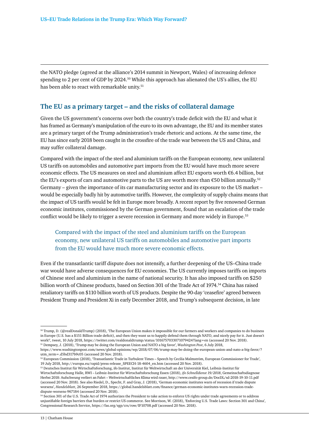the NATO pledge (agreed at the alliance's 2014 summit in Newport, Wales) of increasing defence spending to 2 per cent of GDP by 2024.<sup>50</sup> While this approach has alienated the US's allies, the EU has been able to react with remarkable unity.<sup>51</sup>

#### **The EU as a primary target – and the risks of collateral damage**

Given the US government's concerns over both the country's trade deficit with the EU and what it has framed as Germany's manipulation of the euro to its own advantage, the EU and its member states are a primary target of the Trump administration's trade rhetoric and actions. At the same time, the EU has since early 2018 been caught in the crossfire of the trade war between the US and China, and may suffer collateral damage.

Compared with the impact of the steel and aluminium tariffs on the European economy, new unilateral US tariffs on automobiles and automotive part imports from the EU would have much more severe economic effects. The US measures on steel and aluminium affect EU exports worth €6.4 billion, but the EU's exports of cars and automotive parts to the US are worth more than  $\epsilon$ 50 billion annually.<sup>52</sup> Germany – given the importance of its car manufacturing sector and its exposure to the US market – would be especially badly hit by automotive tariffs. However, the complexity of supply chains means that the impact of US tariffs would be felt in Europe more broadly. A recent report by five renowned German economic institutes, commissioned by the German government, found that an escalation of the trade conflict would be likely to trigger a severe recession in Germany and more widely in Europe.53

#### Compared with the impact of the steel and aluminium tariffs on the European economy, new unilateral US tariffs on automobiles and automotive part imports from the EU would have much more severe economic effects.

Even if the transatlantic tariff dispute does not intensify, a further deepening of the US–China trade war would have adverse consequences for EU economies. The US currently imposes tariffs on imports of Chinese steel and aluminium in the name of national security. It has also imposed tariffs on \$250 billion worth of Chinese products, based on Section 301 of the Trade Act of 1974.<sup>54</sup> China has raised retaliatory tariffs on \$110 billion worth of US products. Despite the 90-day 'ceasefire' agreed between President Trump and President Xi in early December 2018, and Trump's subsequent decision, in late

<sup>50</sup> Trump, D. (@realDonaldTrump) (2018), 'The European Union makes it impossible for our farmers and workers and companies to do business in Europe (U.S. has a \$151 Billion trade deficit), and then they want us to happily defend them through NATO, and nicely pay for it. Just doesn't work!', tweet, 10 July 2018, <https://twitter.com/realdonaldtrump/status/1016757033071079424?lang=en> (accessed 20 Nov. 2018). 51 Dempsey, J. (2018), 'Trump may be doing the European Union and NATO a big favor', *Washington Post*, 6 July 2018,

[https://www.washingtonpost.com/news/global-opinions/wp/2018/07/06/trump-may-be-doing-the-european-union-and-nato-a-big-favor/?](https://www.washingtonpost.com/news/global-opinions/wp/2018/07/06/trump-may-be-doing-the-european-union-and-nato-a-big-favor/?utm_term=.d5bd317b9c05) [utm\\_term=.d5bd317b9c05](https://www.washingtonpost.com/news/global-opinions/wp/2018/07/06/trump-may-be-doing-the-european-union-and-nato-a-big-favor/?utm_term=.d5bd317b9c05) (accessed 20 Nov. 2018).

<sup>52</sup> European Commission (2018), 'Transatlantic Trade in Turbulent Times – Speech by Cecilia Malmström, European Commissioner for Trade', 19 July 2018, [http://europa.eu/rapid/press-release\\_SPEECH-18-4604\\_en.htm](http://europa.eu/rapid/press-release_SPEECH-18-4604_en.htm) (accessed 20 Nov. 2018).

<sup>53</sup> Deutsches Institut für Wirtschaftsforschung, ifo Institut, Institut für Weltwirtschaft an der Universität Kiel, Leibniz-Institut für

Wirtschaftsforschung Halle, RWI – Leibniz-Institut für Wirtschaftsforschung Essen (2018), *ifo Schnelldienst 19/2018*, Gemeinschaftsdiagnose Herbst 2018: Aufschwung verliert an Fahrt – Weltwirtschaftliches Klima wird rauer, <http://www.cesifo-group.de/DocDL/sd-2018-19-10-11.pdf> (accessed 20 Nov. 2018). See also Riedel, D., Specht, F. and Gray, J. (2018), 'German economic institutes warn of recession if trade dispute worsens', *Handelsblatt*, 26 September 2018, [https://global.handelsblatt.com/finance/german-economic-institutes-warn-recession-trade](https://global.handelsblatt.com/finance/german-economic-institutes-warn-recession-trade-%0adispute-worsens-967184)[dispute-worsens-967184](https://global.handelsblatt.com/finance/german-economic-institutes-warn-recession-trade-%0adispute-worsens-967184) (accessed 20 Nov. 2018).

<sup>&</sup>lt;sup>54</sup> Section 301 of the U.S. Trade Act of 1974 authorizes the President to take action to enforce US rights under trade agreements or to address unjustifiable foreign barriers that burden or restrict US commerce. See Morrison, W. (2018), 'Enforcing U.S. Trade Laws: Section 301 and China', Congressional Research Service,<https://fas.org/sgp/crs/row/IF10708.pdf> (accessed 20 Nov. 2018).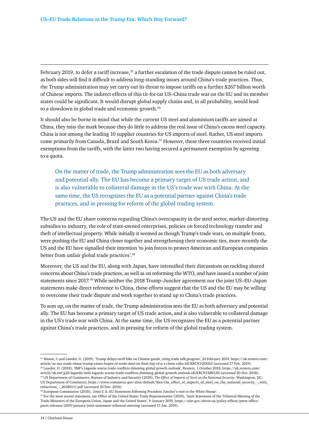February 2019, to defer a tariff increase,<sup>55</sup> a further escalation of the trade dispute cannot be ruled out, as both sides will find it difficult to address long-standing issues around China's trade practices. Thus, the Trump administration may yet carry out its threat to impose tariffs on a further \$267 billion worth of Chinese imports. The indirect effects of this tit-for-tat US–China trade war on the EU and its member states could be significant. It would disrupt global supply chains and, in all probability, would lead to a slowdown in global trade and economic growth.<sup>56</sup>

It should also be borne in mind that while the current US steel and aluminium tariffs are aimed at China, they miss the mark because they do little to address the real issue of China's excess steel capacity. China is not among the leading 10 supplier countries for US imports of steel. Rather, US steel imports come primarily from Canada, Brazil and South Korea.57 However, these three countries received initial exemptions from the tariffs, with the latter two having secured a permanent exemption by agreeing to a quota.

On the matter of trade, the Trump administration sees the EU as both adversary and potential ally. The EU has become a primary target of US trade action, and is also vulnerable to collateral damage in the US's trade war with China. At the same time, the US recognizes the EU as a potential partner against China's trade practices, and in pressing for reform of the global trading system.

The US and the EU share concerns regarding China's overcapacity in the steel sector, market-distorting subsidies to industry, the role of state-owned enterprises, policies on forced technology transfer and theft of intellectual property. While initially it seemed as though Trump's trade wars, on multiple fronts, were pushing the EU and China closer together and strengthening their economic ties, more recently the US and the EU have signalled their intention 'to join forces to protect American and European companies better from unfair global trade practices'.58

Moreover, the US and the EU, along with Japan, have intensified their discussions on tackling shared concerns about China's trade practices, as well as on reforming the WTO, and have issued a number of joint statements since 2017.59 While neither the 2018 Trump–Juncker agreement nor the joint US–EU–Japan statements make direct reference to China, these efforts suggest that the US and the EU may be willing to overcome their trade dispute and work together to stand up to China's trade practices.

To sum up, on the matter of trade, the Trump administration sees the EU as both adversary and potential ally. The EU has become a primary target of US trade action, and is also vulnerable to collateral damage in the US's trade war with China. At the same time, the US recognizes the EU as a potential partner against China's trade practices, and in pressing for reform of the global trading system.

<sup>55</sup> Mason, J. and Lawder, D. (2019), 'Trump delays tariff hike on Chinese goods, citing trade talk progress', 24 February 2019, [https://uk.reuters.com/](https://uk.reuters.com/article/us-usa-trade-china/trump-raises-hopes-of-trade-deal-on-final-day-of-u-s-china-talks-idUKKCN1QD0L0) [article/us-usa-trade-china/trump-raises-hopes-of-trade-deal-on-final-day-of-u-s-china-talks-idUKKCN1QD0L0](https://uk.reuters.com/article/us-usa-trade-china/trump-raises-hopes-of-trade-deal-on-final-day-of-u-s-china-talks-idUKKCN1QD0L0) (accessed 27 Feb. 2019). 56 Lawder, D. (2018), 'IMF's Lagarde warns trade conflicts dimming global growth outlook', Reuters, 1 October 2018, [https://uk.reuters.com/](https://uk.reuters.com/article/uk-imf-g20-lagarde/imfs-lagarde-warns-trade-conflicts-dimming-global-growth-outlook-idUKKCN1MB32N)

[article/uk-imf-g20-lagarde/imfs-lagarde-warns-trade-conflicts-dimming-global-growth-outlook-idUKKCN1MB32N](https://uk.reuters.com/article/uk-imf-g20-lagarde/imfs-lagarde-warns-trade-conflicts-dimming-global-growth-outlook-idUKKCN1MB32N) (accessed 20 Nov. 2018). 57 US Department of Commerce, Bureau of Industry and Security (2018), *The Effect of Imports of Steel on the National Security*, Washington, DC: US Department of Commerce, [https://www.commerce.gov/sites/default/files/the\\_effect\\_of\\_imports\\_of\\_steel\\_on\\_the\\_national\\_security\\_-\\_with\\_](https://www.commerce.gov/sites/default/files/the_effect_of_imports_of_steel_on_the_national_security_-_with_redactions_-_20180111.pdf) [redactions\\_-\\_20180111.pdf](https://www.commerce.gov/sites/default/files/the_effect_of_imports_of_steel_on_the_national_security_-_with_redactions_-_20180111.pdf) (accessed 20 Nov. 2018).

<sup>58</sup> European Commission (2018), 'Joint U.S.-EU Statement following President Juncker's visit to the White House'.

<sup>59</sup> For the most recent statement, see Office of the United States Trade Representative (2019), 'Joint Statement of the Trilateral Meeting of the Trade Ministers of the European Union, Japan and the United States', 9 January 2019, [https://ustr.gov/about-us/policy-offices/press-office/](https://ustr.gov/about-us/policy-offices/press-office/press-releases/2019/january/joint-statement-trilateral-meeting) [press-releases/2019/january/joint-statement-trilateral-meeting](https://ustr.gov/about-us/policy-offices/press-office/press-releases/2019/january/joint-statement-trilateral-meeting) (accessed 17 Jan. 2019).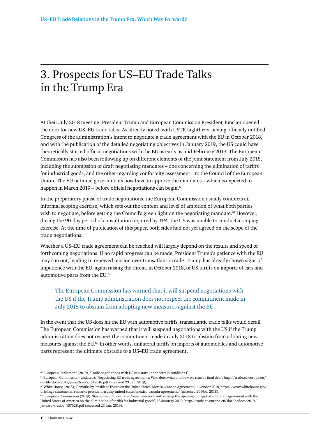# <span id="page-15-0"></span>3. Prospects for US–EU Trade Talks in the Trump Era

At their July 2018 meeting, President Trump and European Commission President Juncker opened the door for new US–EU trade talks. As already noted, with USTR Lighthizer having officially notified Congress of the administration's intent to negotiate a trade agreement with the EU in October 2018, and with the publication of the detailed negotiating objectives in January 2019, the US could have theoretically started official negotiations with the EU as early as mid-February 2019. The European Commission has also been following up on different elements of the joint statement from July 2018, including the submission of draft negotiating mandates – one concerning the elimination of tariffs for industrial goods, and the other regarding conformity assessment – to the Council of the European Union. The EU national governments now have to approve the mandates – which is expected to happen in March 2019 – before official negotiations can begin. $60$ 

In the preparatory phase of trade negotiations, the European Commission usually conducts an informal scoping exercise, which sets out the content and level of ambition of what both parties wish to negotiate, before getting the Council's green light on the negotiating mandate.<sup>61</sup> However, during the 90-day period of consultation required by TPA, the US was unable to conduct a scoping exercise. At the time of publication of this paper, both sides had not yet agreed on the scope of the trade negotiations.

Whether a US–EU trade agreement can be reached will largely depend on the results and speed of forthcoming negotiations. If no rapid progress can be made, President Trump's patience with the EU may run out, leading to renewed tension over transatlantic trade. Trump has already shown signs of impatience with the EU, again raising the threat, in October 2018, of US tariffs on imports of cars and automotive parts from the EU.<sup>62</sup>

### The European Commission has warned that it will suspend negotiations with the US if the Trump administration does not respect the commitment made in July 2018 to abstain from adopting new measures against the EU.

In the event that the US does hit the EU with automotive tariffs, transatlantic trade talks would derail. The European Commission has warned that it will suspend negotiations with the US if the Trump administration does not respect the commitment made in July 2018 to abstain from adopting new measures against the EU.63 In other words, unilateral tariffs on imports of automobiles and automotive parts represent the ultimate obstacle to a US–EU trade agreement.

<sup>60</sup> European Parliament (2019), 'Trade negotiations with US can start under certain conditions'.

<sup>61</sup> European Commission (undated), 'Negotiating EU trade agreements: Who does what and how we reach a final deal', [http://trade.ec.europa.eu/](http://trade.ec.europa.eu/%0adoclib/docs/2012/june/tradoc_149616.pdf) [doclib/docs/2012/june/tradoc\\_149616.pdf](http://trade.ec.europa.eu/%0adoclib/docs/2012/june/tradoc_149616.pdf) (accessed 23 Jan. 2019).

<sup>62</sup> White House (2018), 'Remarks by President Trump on the United States–Mexico–Canada Agreement', 1 October 2018, [https://www.whitehouse.gov/](https://www.whitehouse.gov/%0abriefings-statements/remarks-president-trump-united-states-mexico-canada-agreement/) [briefings-statements/remarks-president-trump-united-states-mexico-canada-agreement/](https://www.whitehouse.gov/%0abriefings-statements/remarks-president-trump-united-states-mexico-canada-agreement/) (accessed 20 Nov. 2018).

 $63$  European Commission (2019), 'Recommendation for a Council decision authorising the opening of negotiations of an agreement with the United States of America on the elimination of tariffs for industrial goods', 18 January 2019, [http://trade.ec.europa.eu/doclib/docs/2019/](http://trade.ec.europa.eu/doclib/docs/2019/january/tradoc_157628.pdf) [january/tradoc\\_157628.pdf](http://trade.ec.europa.eu/doclib/docs/2019/january/tradoc_157628.pdf) (accessed 23 Jan. 2019).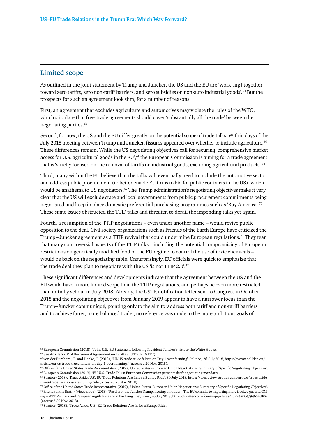#### **Limited scope**

As outlined in the joint statement by Trump and Juncker, the US and the EU are 'work[ing] together toward zero tariffs, zero non-tariff barriers, and zero subsidies on non-auto industrial goods'.<sup>64</sup> But the prospects for such an agreement look slim, for a number of reasons.

First, an agreement that excludes agriculture and automotives may violate the rules of the WTO, which stipulate that free-trade agreements should cover 'substantially all the trade' between the negotiating parties.65

Second, for now, the US and the EU differ greatly on the potential scope of trade talks. Within days of the July 2018 meeting between Trump and Juncker, fissures appeared over whether to include agriculture.<sup>66</sup> These differences remain. While the US negotiating objectives call for securing 'comprehensive market access for U.S. agricultural goods in the EU', $67$  the European Commission is aiming for a trade agreement that is 'strictly focused on the removal of tariffs on industrial goods, excluding agricultural products'.<sup>68</sup>

Third, many within the EU believe that the talks will eventually need to include the automotive sector and address public procurement (to better enable EU firms to bid for public contracts in the US), which would be anathema to US negotiators.<sup>69</sup> The Trump administration's negotiating objectives make it very clear that the US will exclude state and local governments from public procurement commitments being negotiated and keep in place domestic preferential purchasing programmes such as 'Buy America'.70 These same issues obstructed the TTIP talks and threaten to derail the impending talks yet again.

Fourth, a resumption of the TTIP negotiations – even under another name – would revive public opposition to the deal. Civil society organizations such as Friends of the Earth Europe have criticized the Trump–Juncker agreement as a TTIP revival that could undermine European regulations.<sup>71</sup> They fear that many controversial aspects of the TTIP talks – including the potential compromising of European restrictions on genetically modified food or the EU regime to control the use of toxic chemicals – would be back on the negotiating table. Unsurprisingly, EU officials were quick to emphasize that the trade deal they plan to negotiate with the US 'is not TTIP 2.0'.72

These significant differences and developments indicate that the agreement between the US and the EU would have a more limited scope than the TTIP negotiations, and perhaps be even more restricted than initially set out in July 2018. Already, the USTR notification letter sent to Congress in October 2018 and the negotiating objectives from January 2019 appear to have a narrower focus than the Trump–Juncker communiqué, pointing only to the aim to 'address both tariff and non-tariff barriers and to achieve fairer, more balanced trade'; no reference was made to the more ambitious goals of

<sup>64</sup> European Commission (2018), 'Joint U.S.-EU Statement following President Juncker's visit to the White House'.

 $^{65}$  See Article XXIV of the General Agreement on Tariffs and Trade (GATT).

<sup>66</sup> von der Burchard, H. and Hanke, J. (2018), 'EU-US trade truce falters on Day 1 over farming', Politico, 26 July 2018, [https://www.politico.eu/](https://www.politico.eu/article/eu-us-trade-truce-falters-on-day-1-over-farming/) [article/eu-us-trade-truce-falters-on-day-1-over-farming/](https://www.politico.eu/article/eu-us-trade-truce-falters-on-day-1-over-farming/) (accessed 20 Nov. 2018).

<sup>&</sup>lt;sup>67</sup> Office of the United States Trade Representative (2019), 'United States–European Union Negotiations: Summary of Specific Negotiating Objectives'. 68 European Commission (2019), 'EU-U.S. Trade Talks: European Commission presents draft negotiating mandates'.

<sup>69</sup> Stratfor (2018), 'Truce Aside, U.S.-EU Trade Relations Are In for a Bumpy Ride', 30 July 2018, [https://worldview.stratfor.com/article/truce-aside](https://worldview.stratfor.com/article/truce-aside-%0aus-eu-trade-relations-are-bumpy-ride)[us-eu-trade-relations-are-bumpy-ride](https://worldview.stratfor.com/article/truce-aside-%0aus-eu-trade-relations-are-bumpy-ride) (accessed 20 Nov. 2018).

<sup>70</sup> Office of the United States Trade Representative (2019), 'United States–European Union Negotiations: Summary of Specific Negotiating Objectives'. 71 Friends of the Earth (@foeeurope) (2018), 'Results of the Juncker-Trump meeting on trade: – The EU commits to importing more fracked gas and GM soy – #TTIP is back and European regulations are in the firing line', tweet, 26 July 2018,<https://twitter.com/foeeurope/status/1022420047946543106>

<sup>(</sup>accessed 20 Nov. 2018). 72 Stratfor (2018), 'Truce Aside, U.S.-EU Trade Relations Are In for a Bumpy Ride'.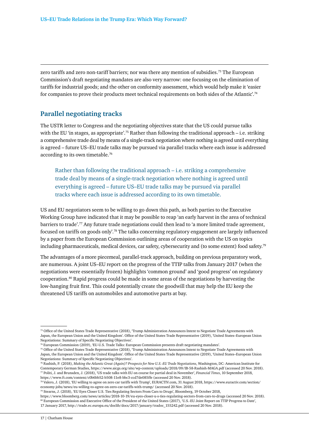zero tariffs and zero non-tariff barriers; nor was there any mention of subsidies.<sup>73</sup> The European Commission's draft negotiating mandates are also very narrow: one focusing on the elimination of tariffs for industrial goods; and the other on conformity assessment, which would help make it 'easier for companies to prove their products meet technical requirements on both sides of the Atlantic'.<sup>74</sup>

#### **Parallel negotiating tracks**

The USTR letter to Congress and the negotiating objectives state that the US could pursue talks with the EU 'in stages, as appropriate'.<sup>75</sup> Rather than following the traditional approach – i.e. striking a comprehensive trade deal by means of a single-track negotiation where nothing is agreed until everything is agreed – future US–EU trade talks may be pursued via parallel tracks where each issue is addressed according to its own timetable.76

Rather than following the traditional approach – i.e. striking a comprehensive trade deal by means of a single-track negotiation where nothing is agreed until everything is agreed – future US–EU trade talks may be pursued via parallel tracks where each issue is addressed according to its own timetable.

US and EU negotiators seem to be willing to go down this path, as both parties to the Executive Working Group have indicated that it may be possible to reap 'an early harvest in the area of technical barriers to trade'.77 Any future trade negotiations could then lead to 'a more limited trade agreement, focused on tariffs on goods only'.78 The talks concerning regulatory engagement are largely influenced by a paper from the European Commission outlining areas of cooperation with the US on topics including pharmaceuticals, medical devices, car safety, cybersecurity and (to some extent) food safety.79

The advantages of a more piecemeal, parallel-track approach, building on previous preparatory work, are numerous. A joint US–EU report on the progress of the TTIP talks from January 2017 (when the negotiations were essentially frozen) highlights 'common ground' and 'good progress' on regulatory cooperation.80 Rapid progress could be made in some areas of the negotiations by harvesting the low-hanging fruit first. This could potentially create the goodwill that may help the EU keep the threatened US tariffs on automobiles and automotive parts at bay.

78 Valero, J. (2018), 'EU willing to agree on zero car tariffs with Trump', EURACTIV.com, 31 August 2018, [https://www.euractiv.com/section/](https://www.euractiv.com/section/economy-jobs/news/eu-willing-to-agree-on-zero-car-tariffs-with-trump/) [economy-jobs/news/eu-willing-to-agree-on-zero-car-tariffs-with-trump/](https://www.euractiv.com/section/economy-jobs/news/eu-willing-to-agree-on-zero-car-tariffs-with-trump/) (accessed 20 Nov. 2018).

79 Stearns, J. (2018), 'EU Eyes Closer U.S. Ties Regulating Sectors From Cars to Drugs', Bloomberg, 19 October 2018,

<sup>73</sup> Office of the United States Trade Representative (2018), 'Trump Administration Announces Intent to Negotiate Trade Agreements with Japan, the European Union and the United Kingdom'. Office of the United States Trade Representative (2019), 'United States–European Union Negotiations: Summary of Specific Negotiating Objectives'.

<sup>74</sup> European Commission (2019), 'EU-U.S. Trade Talks: European Commission presents draft negotiating mandates'.

<sup>75</sup> Office of the United States Trade Representative (2018), 'Trump Administration Announces Intent to Negotiate Trade Agreements with Japan, the European Union and the United Kingdom'. Office of the United States Trade Representative (2019), 'United States–European Union Negotiations: Summary of Specific Negotiating Objectives'.

<sup>76</sup> Rashish, P. (2018), *Making the Atlantic Great (Again)? Prospects for New U.S.-EU Trade Negotiations*, Washington, DC: American Institute for Contemporary German Studies,<https://www.aicgs.org/site/wp-content/uploads/2018/09/IB-58-Rashish-MAGA.pdf> (accessed 20 Nov. 2018). 77 Politi, J. and Brunsden, J. (2018), 'US trade talks with EU on course for partial deal in November', *Financial Times*, 10 September 2018, <https://www.ft.com/content/c0b6bb52-b508-11e8-bbc3-ccd7de085ffe>(accessed 20 Nov. 2018).

<https://www.bloomberg.com/news/articles/2018-10-19/eu-eyes-closer-u-s-ties-regulating-sectors-from-cars-to-drugs> (accessed 20 Nov. 2018). 80 European Commission and Executive Office of the President of the United States (2017), 'U.S.-EU Joint Report on TTIP Progress to Date', 17 January 2017, [http://trade.ec.europa.eu/doclib/docs/2017/january/tradoc\\_155242.pdf](http://trade.ec.europa.eu/doclib/docs/2017/january/tradoc_155242.pdf) (accessed 20 Nov. 2018).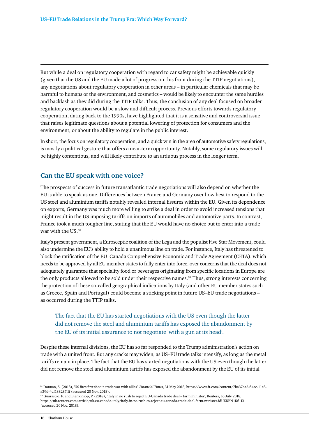But while a deal on regulatory cooperation with regard to car safety might be achievable quickly (given that the US and the EU made a lot of progress on this front during the TTIP negotiations), any negotiations about regulatory cooperation in other areas – in particular chemicals that may be harmful to humans or the environment, and cosmetics – would be likely to encounter the same hurdles and backlash as they did during the TTIP talks. Thus, the conclusion of any deal focused on broader regulatory cooperation would be a slow and difficult process. Previous efforts towards regulatory cooperation, dating back to the 1990s, have highlighted that it is a sensitive and controversial issue that raises legitimate questions about a potential lowering of protection for consumers and the environment, or about the ability to regulate in the public interest.

In short, the focus on regulatory cooperation, and a quick win in the area of automotive safety regulations, is mostly a political gesture that offers a near-term opportunity. Notably, some regulatory issues will be highly contentious, and will likely contribute to an arduous process in the longer term.

### **Can the EU speak with one voice?**

The prospects of success in future transatlantic trade negotiations will also depend on whether the EU is able to speak as one. Differences between France and Germany over how best to respond to the US steel and aluminium tariffs notably revealed internal fissures within the EU. Given its dependence on exports, Germany was much more willing to strike a deal in order to avoid increased tensions that might result in the US imposing tariffs on imports of automobiles and automotive parts. In contrast, France took a much tougher line, stating that the EU would have no choice but to enter into a trade war with the US.<sup>81</sup>

Italy's present government, a Eurosceptic coalition of the Lega and the populist Five Star Movement, could also undermine the EU's ability to hold a unanimous line on trade. For instance, Italy has threatened to block the ratification of the EU–Canada Comprehensive Economic and Trade Agreement (CETA), which needs to be approved by all EU member states to fully enter into force, over concerns that the deal does not adequately guarantee that speciality food or beverages originating from specific locations in Europe are the only products allowed to be sold under their respective names.<sup>82</sup> Thus, strong interests concerning the protection of these so-called geographical indications by Italy (and other EU member states such as Greece, Spain and Portugal) could become a sticking point in future US–EU trade negotiations – as occurred during the TTIP talks.

### The fact that the EU has started negotiations with the US even though the latter did not remove the steel and aluminium tariffs has exposed the abandonment by the EU of its initial assurance to not negotiate 'with a gun at its head'.

Despite these internal divisions, the EU has so far responded to the Trump administration's action on trade with a united front. But any cracks may widen, as US–EU trade talks intensify, as long as the metal tariffs remain in place. The fact that the EU has started negotiations with the US even though the latter did not remove the steel and aluminium tariffs has exposed the abandonment by the EU of its initial

<sup>81</sup> Donnan, S. (2018), 'US fires first shot in trade war with allies', *Financial Times*, 31 May 2018, [https://www.ft.com/content/7ba37aa2-64ac-11e8](https://www.ft.com/content/7ba37aa2-64ac-11e8-%0aa39d-4df188287fff) [a39d-4df188287fff](https://www.ft.com/content/7ba37aa2-64ac-11e8-%0aa39d-4df188287fff) (accessed 20 Nov. 2018).

<sup>82</sup> Guarascio, F. and Blenkinsop, P. (2018), 'Italy in no rush to reject EU-Canada trade deal – farm minister', Reuters, 16 July 2018, <https://uk.reuters.com/article/uk-eu-canada-italy/italy-in-no-rush-to-reject-eu-canada-trade-deal-farm-minister-idUKKBN1K61IX> (accessed 20 Nov. 2018).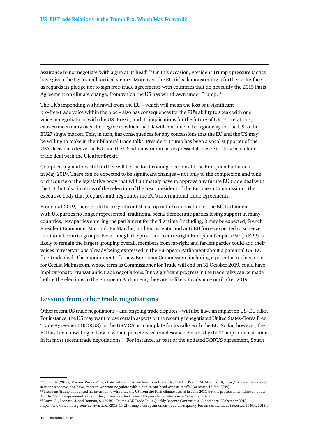assurance to not negotiate 'with a gun at its head'.83 On this occasion, President Trump's pressure tactics have given the US a small tactical victory. Moreover, the EU risks demonstrating a further volte-face as regards its pledge not to sign free-trade agreements with countries that do not ratify the 2015 Paris Agreement on climate change, from which the US has withdrawn under Trump.<sup>84</sup>

The UK's impending withdrawal from the EU – which will mean the loss of a significant pro-free-trade voice within the bloc – also has consequences for the EU's ability to speak with one voice in negotiations with the US. Brexit, and its implications for the future of UK–EU relations, causes uncertainty over the degree to which the UK will continue to be a gateway for the US to the EU27 single market. This, in turn, has consequences for any concessions that the EU and the US may be willing to make in their bilateral trade talks. President Trump has been a vocal supporter of the UK's decision to leave the EU, and the US administration has expressed its desire to strike a bilateral trade deal with the UK after Brexit.

Complicating matters still further will be the forthcoming elections to the European Parliament in May 2019. There can be expected to be significant changes – not only to the complexion and tone of discourse of the legislative body that will ultimately have to approve any future EU trade deal with the US, but also in terms of the selection of the next president of the European Commission – the executive body that prepares and negotiates the EU's international trade agreements.

From mid-2019, there could be a significant shake-up in the composition of the EU Parliament, with UK parties no longer represented, traditional social democratic parties losing support in many countries, new parties entering the parliament for the first time (including, it may be expected, French President Emmanuel Macron's En Marche) and Eurosceptic and anti-EU forces expected to squeeze traditional centrist groups. Even though the pro-trade, centre-right European People's Party (EPP) is likely to remain the largest grouping overall, members from far-right and far-left parties could add their voices to reservations already being expressed in the European Parliament about a potential US–EU free-trade deal. The appointment of a new European Commission, including a potential replacement for Cecilia Malmström, whose term as Commissioner for Trade will end on 31 October 2019, could have implications for transatlantic trade negotiations. If no significant progress in the trade talks can be made before the elections to the European Parliament, they are unlikely to advance until after 2019.

#### **Lessons from other trade negotiations**

Other recent US trade negotiations – and ongoing trade disputes – will also have an impact on US–EU talks. For instance, the US may want to use certain aspects of the recently renegotiated United States–Korea Free Trade Agreement (KORUS) or the USMCA as a template for its talks with the EU. So far, however, the EU has been unwilling to bow to what it perceives as troublesome demands by the Trump administration in its most recent trade negotiations.<sup>85</sup> For instance, as part of the updated KORUS agreement, South

<sup>83</sup> Simon, F. (2018), 'Macron: We won't negotiate 'with a gun to our head' over US tariffs', EURACTIV.com, 26 March 2018, [https://www.euractiv.com/](https://www.euractiv.com/%0asection/economy-jobs/news/macron-we-wont-negotiate-with-a-gun-to-our-head-over-us-tariffs/) [section/economy-jobs/news/macron-we-wont-negotiate-with-a-gun-to-our-head-over-us-tariffs/](https://www.euractiv.com/%0asection/economy-jobs/news/macron-we-wont-negotiate-with-a-gun-to-our-head-over-us-tariffs/) (accessed 17 Jan. 2019).

<sup>&</sup>lt;sup>84</sup> President Trump announced his intention to withdraw the US from the Paris climate accord in June 2017, but the process of withdrawal, under Article 28 of the agreement, can only begin the day after the next US presidential election in November 2020.

<sup>85</sup> Bravo, R., Leonard, J. and Donnan, S. (2018), 'Trump's EU Trade Talks Quickly Become Contentious', Bloomberg, 22 October 2018, <https://www.bloomberg.com/news/articles/2018-10-21/trump-s-european-union-trade-talks-quickly-become-contentious> (accessed 20 Nov. 2018).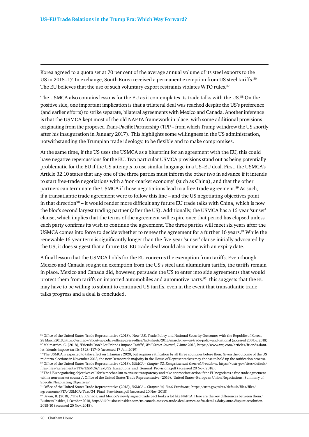Korea agreed to a quota set at 70 per cent of the average annual volume of its steel exports to the US in 2015–17. In exchange, South Korea received a permanent exemption from US steel tariffs.<sup>86</sup> The EU believes that the use of such voluntary export restraints violates WTO rules.<sup>87</sup>

The USMCA also contains lessons for the EU as it contemplates its trade talks with the US.88 On the positive side, one important implication is that a trilateral deal was reached despite the US's preference (and earlier efforts) to strike separate, bilateral agreements with Mexico and Canada. Another inference is that the USMCA kept most of the old NAFTA framework in place, with some additional provisions originating from the proposed Trans-Pacific Partnership (TPP – from which Trump withdrew the US shortly after his inauguration in January 2017). This highlights some willingness in the US administration, notwithstanding the Trumpian trade ideology, to be flexible and to make compromises.

At the same time, if the US uses the USMCA as a blueprint for an agreement with the EU, this could have negative repercussions for the EU. Two particular USMCA provisions stand out as being potentially problematic for the EU if the US attempts to use similar language in a US–EU deal. First, the USMCA's Article 32.10 states that any one of the three parties must inform the other two in advance if it intends to start free-trade negotiations with a 'non-market economy' (such as China), and that the other partners can terminate the USMCA if those negotiations lead to a free-trade agreement.<sup>89</sup> As such, if a transatlantic trade agreement were to follow this line – and the US negotiating objectives point in that direction<sup>90</sup> – it would render more difficult any future EU trade talks with China, which is now the bloc's second largest trading partner (after the US). Additionally, the USMCA has a 16-year 'sunset' clause, which implies that the terms of the agreement will expire once that period has elapsed unless each party confirms its wish to continue the agreement. The three parties will meet six years after the USMCA comes into force to decide whether to renew the agreement for a further 16 years.<sup>91</sup> While the renewable 16-year term is significantly longer than the five-year 'sunset' clause initially advocated by the US, it does suggest that a future US–EU trade deal would also come with an expiry date.

A final lesson that the USMCA holds for the EU concerns the exemption from tariffs. Even though Mexico and Canada sought an exemption from the US's steel and aluminium tariffs, the tariffs remain in place. Mexico and Canada did, however, persuade the US to enter into side agreements that would protect them from tariffs on imported automobiles and automotive parts.92 This suggests that the EU may have to be willing to submit to continued US tariffs, even in the event that transatlantic trade talks progress and a deal is concluded.

<sup>86</sup> Office of the United States Trade Representative (2018), 'New U.S. Trade Policy and National Security Outcomes with the Republic of Korea', 28 March 2018,<https://ustr.gov/about-us/policy-offices/press-office/fact-sheets/2018/march/new-us-trade-policy-and-national> (accessed 20 Nov. 2018). 87 Malmström, C. (2018), 'Friends Don't Let Friends Impose Tariffs', *Wall Street Journal*, 7 June 2018, [https://www.wsj.com/articles/friends-dont](https://www.wsj.com/articles/friends-dont-%0alet-friends-impose-tariffs-1528411740)[let-friends-impose-tariffs-1528411740](https://www.wsj.com/articles/friends-dont-%0alet-friends-impose-tariffs-1528411740) (accessed 17 Jan. 2019).

<sup>88</sup> The USMCA is expected to take effect on 1 January 2020, but requires ratification by all three countries before then. Given the outcome of the US midterm elections in November 2018, the new Democratic majority in the House of Representatives may choose to hold up the ratification process. 89 Office of the United States Trade Representative (2018), *USMCA – Chapter 32, Exceptions and General Provisions*, [https://ustr.gov/sites/default/](https://ustr.gov/sites/default/files/files/agreements/FTA/USMCA/Text/32_Exceptions_and_General_Provisions.pdf) [files/files/agreements/FTA/USMCA/Text/32\\_Exceptions\\_and\\_General\\_Provisions.pdf](https://ustr.gov/sites/default/files/files/agreements/FTA/USMCA/Text/32_Exceptions_and_General_Provisions.pdf) (accessed 20 Nov. 2018).

 $90$  The US's negotiating objectives call for 'a mechanism to ensure transparency and take appropriate action if the EU negotiates a free trade agreement with a non-market country'. Office of the United States Trade Representative (2019), 'United States–European Union Negotiations: Summary of Specific Negotiating Objectives'.

<sup>91</sup> Office of the United States Trade Representative (2018), *USMCA – Chapter 34, Final Provisions*, [https://ustr.gov/sites/default/files/files/](https://ustr.gov/sites/default/files/files/agreements/FTA/USMCA/Text/34_Final_Provisions.pdf) [agreements/FTA/USMCA/Text/34\\_Final\\_Provisions.pdf](https://ustr.gov/sites/default/files/files/agreements/FTA/USMCA/Text/34_Final_Provisions.pdf) (accessed 20 Nov. 2018).

 $92$  Bryan, B. (2018), 'The US, Canada, and Mexico's newly signed trade pact looks a lot like NAFTA. Here are the key differences between them.', Business Insider, 1 October 2018, [http://uk.businessinsider.com/us-canada-mexico-trade-deal-usmca-nafta-details-dairy-auto-dispute-resolution-](http://uk.businessinsider.com/us-canada-mexico-trade-deal-usmca-nafta-details-dairy-auto-dispute-resolution-%0a2018-10)[2018-10](http://uk.businessinsider.com/us-canada-mexico-trade-deal-usmca-nafta-details-dairy-auto-dispute-resolution-%0a2018-10) (accessed 20 Nov. 2018).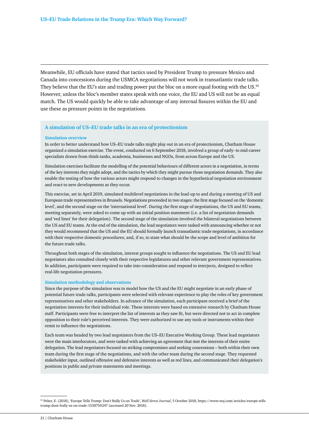Meanwhile, EU officials have stated that tactics used by President Trump to pressure Mexico and Canada into concessions during the USMCA negotiations will not work in transatlantic trade talks. They believe that the EU's size and trading power put the bloc on a more equal footing with the US.<sup>93</sup> However, unless the bloc's member states speak with one voice, the EU and US will not be an equal match. The US would quickly be able to take advantage of any internal fissures within the EU and use these as pressure points in the negotiations.

#### **A simulation of US–EU trade talks in an era of protectionism**

#### **Simulation overview**

In order to better understand how US–EU trade talks might play out in an era of protectionism, Chatham House organized a simulation exercise. The event, conducted on 6 September 2018, involved a group of early- to mid-career specialists drawn from think-tanks, academia, businesses and NGOs, from across Europe and the US.

Simulation exercises facilitate the modelling of the potential behaviours of different actors in a negotiation, in terms of the key interests they might adopt, and the tactics by which they might pursue those negotiation demands. They also enable the testing of how the various actors might respond to changes in the hypothetical negotiation environment and react to new developments as they occur.

This exercise, set in April 2019, simulated multilevel negotiations in the lead-up to and during a meeting of US and European trade representatives in Brussels. Negotiations proceeded in two stages: the first stage focused on the 'domestic level', and the second stage on the 'international level'. During the first stage of negotiations, the US and EU teams, meeting separately, were asked to come up with an initial position statement (i.e. a list of negotiation demands and 'red lines' for their delegation). The second stage of the simulation involved the bilateral negotiations between the US and EU teams. At the end of the simulation, the lead negotiators were tasked with announcing whether or not they would recommend that the US and the EU should formally launch transatlantic trade negotiations, in accordance with their respective domestic procedures; and, if so, to state what should be the scope and level of ambition for the future trade talks.

Throughout both stages of the simulation, interest groups sought to influence the negotiations. The US and EU lead negotiators also consulted closely with their respective legislatures and other relevant government representatives. In addition, participants were required to take into consideration and respond to interjects, designed to reflect real-life negotiation pressures.

#### **Simulation methodology and observations**

Since the purpose of the simulation was to model how the US and the EU might negotiate in an early phase of potential future trade talks, participants were selected with relevant experience to play the roles of key government representatives and other stakeholders. In advance of the simulation, each participant received a brief of the negotiation interests for their individual role. These interests were based on extensive research by Chatham House staff. Participants were free to interpret the list of interests as they saw fit, but were directed not to act in complete opposition to their role's perceived interests. They were authorized to use any tools or instruments within their remit to influence the negotiations.

Each team was headed by two lead negotiators from the US–EU Executive Working Group. These lead negotiators were the main interlocutors, and were tasked with achieving an agreement that met the interests of their entire delegation. The lead negotiators focused on striking compromises and seeking concessions – both within their own team during the first stage of the negotiations, and with the other team during the second stage. They requested stakeholder input, outlined offensive and defensive interests as well as red lines, and communicated their delegation's positions in public and private statements and meetings.

<sup>93</sup> Peker, E. (2018), 'Europe Tells Trump: Don't Bully Us on Trade', *Wall Street Journal*, 5 October 2018, [https://www.wsj.com/articles/europe-tells](https://www.wsj.com/articles/europe-tells-%0atrump-dont-bully-us-on-trade-1538750247)[trump-dont-bully-us-on-trade-1538750247](https://www.wsj.com/articles/europe-tells-%0atrump-dont-bully-us-on-trade-1538750247) (accessed 20 Nov. 2018).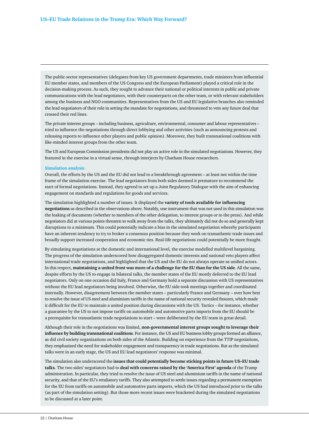The public-sector representatives (delegates from key US government departments, trade ministers from influential EU member states, and members of the US Congress and the European Parliament) played a critical role in the decision-making process. As such, they sought to advance their national or political interests in public and private communications with the lead negotiators, with their counterparts on the other team, or with relevant stakeholders among the business and NGO communities. Representatives from the US and EU legislative branches also reminded the lead negotiators of their role in setting the mandate for negotiations, and threatened to veto any future deal that crossed their red lines.

The private interest groups – including business, agriculture, environmental, consumer and labour representatives – tried to influence the negotiations through direct lobbying and other activities (such as announcing protests and releasing reports to influence other players and public opinion). Moreover, they built transnational coalitions with like-minded interest groups from the other team.

The US and European Commission presidents did not play an active role in the simulated negotiations. However, they featured in the exercise in a virtual sense, through interjects by Chatham House researchers.

#### **Simulation analysis**

Overall, the efforts by the US and the EU did not lead to a breakthrough agreement – at least not within the time frame of the simulation exercise. The lead negotiators from both sides deemed it premature to recommend the start of formal negotiations. Instead, they agreed to set up a Joint Regulatory Dialogue with the aim of enhancing engagement on standards and regulations for goods and services.

The simulation highlighted a number of issues. It displayed the **variety of tools available for influencing negotiations** as described in the observations above. Notably, one instrument that was not used in this simulation was the leaking of documents (whether to members of the other delegation, to interest groups or to the press). And while negotiators did at various points threaten to walk away from the talks, they ultimately did not do so and generally kept disruptions to a minimum. This could potentially indicate a bias in the simulated negotiation whereby participants have an inherent tendency to try to broker a consensus position because they work on transatlantic trade issues and broadly support increased cooperation and economic ties. Real-life negotiations could potentially be more fraught.

By simulating negotiations at the domestic and international level, the exercise modelled multilevel bargaining. The progress of the simulation underscored how disaggregated domestic interests and national veto players affect international trade negotiations, and highlighted that the US and the EU do not always operate as unified actors. In this respect, **maintaining a united front was more of a challenge for the EU than for the US side**. All the same, despite efforts by the US to engage in bilateral talks, the member states of the EU mostly deferred to the EU lead negotiators. Only on one occasion did Italy, France and Germany hold a separate discussion with US representatives without the EU lead negotiators being involved. Otherwise, the EU side took meetings together and coordinated internally. However, disagreement between the member states – particularly France and Germany – over how best to resolve the issue of US steel and aluminium tariffs in the name of national security revealed fissures, which made it difficult for the EU to maintain a united position during discussions with the US. Tactics – for instance, whether a guarantee by the US to not impose tariffs on automobile and automotive parts imports from the EU should be a prerequisite for transatlantic trade negotiations to start – were deliberated by the EU team in great detail.

Although their role in the negotiations was limited, **non-governmental interest groups sought to leverage their influence by building transnational coalitions**. For instance, the US and EU business lobby groups formed an alliance, as did civil society organizations on both sides of the Atlantic. Building on experience from the TTIP negotiations, they emphasized the need for stakeholder engagement and transparency in trade negotiations. But as the simulated talks were in an early stage, the US and EU lead negotiators' response was minimal.

The simulation also underscored the **issues that could potentially become sticking points in future US–EU trade talks**. The two sides' negotiators had to **deal with concerns raised by the 'America First' agenda** of the Trump administration. In particular, they tried to resolve the issue of US steel and aluminium tariffs in the name of national security, and that of the EU's retaliatory tariffs. They also attempted to settle issues regarding a permanent exemption for the EU from tariffs on automobile and automotive parts imports, which the US had introduced prior to the talks (as part of the simulation setting). But those more recent issues were bracketed during the simulated negotiations to be discussed at a later point.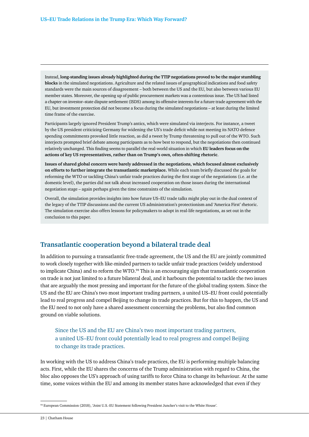Instead, **long-standing issues already highlighted during the TTIP negotiations proved to be the major stumbling blocks** in the simulated negotiations. Agriculture and the related issues of geographical indications and food safety standards were the main sources of disagreement – both between the US and the EU, but also between various EU member states. Moreover, the opening up of public procurement markets was a contentious issue. The US had listed a chapter on investor–state dispute settlement (ISDS) among its offensive interests for a future trade agreement with the EU, but investment protection did not become a focus during the simulated negotiations – at least during the limited time frame of the exercise.

Participants largely ignored President Trump's antics, which were simulated via interjects. For instance, a tweet by the US president criticizing Germany for widening the US's trade deficit while not meeting its NATO defence spending commitments provoked little reaction, as did a tweet by Trump threatening to pull out of the WTO. Such interjects prompted brief debate among participants as to how best to respond, but the negotiations then continued relatively unchanged. This finding seems to parallel the real-world situation in which **EU leaders focus on the actions of key US representatives, rather than on Trump's own, often-shifting rhetoric**.

**Issues of shared global concern were barely addressed in the negotiations, which focused almost exclusively on efforts to further integrate the transatlantic marketplace.** While each team briefly discussed the goals for reforming the WTO or tackling China's unfair trade practices during the first stage of the negotiations (i.e. at the domestic level), the parties did not talk about increased cooperation on those issues during the international negotiation stage – again perhaps given the time constraints of the simulation.

Overall, the simulation provides insights into how future US–EU trade talks might play out in the dual context of the legacy of the TTIP discussions and the current US administration's protectionism and 'America First' rhetoric. The simulation exercise also offers lessons for policymakers to adopt in real-life negotiations, as set out in the conclusion to this paper.

#### **Transatlantic cooperation beyond a bilateral trade deal**

In addition to pursuing a transatlantic free-trade agreement, the US and the EU are jointly committed to work closely together with like-minded partners to tackle unfair trade practices (widely understood to implicate China) and to reform the WTO.<sup>94</sup> This is an encouraging sign that transatlantic cooperation on trade is not just limited to a future bilateral deal, and it harbours the potential to tackle the two issues that are arguably the most pressing and important for the future of the global trading system. Since the US and the EU are China's two most important trading partners, a united US–EU front could potentially lead to real progress and compel Beijing to change its trade practices. But for this to happen, the US and the EU need to not only have a shared assessment concerning the problems, but also find common ground on viable solutions.

Since the US and the EU are China's two most important trading partners, a united US–EU front could potentially lead to real progress and compel Beijing to change its trade practices.

In working with the US to address China's trade practices, the EU is performing multiple balancing acts. First, while the EU shares the concerns of the Trump administration with regard to China, the bloc also opposes the US's approach of using tariffs to force China to change its behaviour. At the same time, some voices within the EU and among its member states have acknowledged that even if they

23 | Chatham House

<sup>94</sup> European Commission (2018), 'Joint U.S.-EU Statement following President Juncker's visit to the White House'.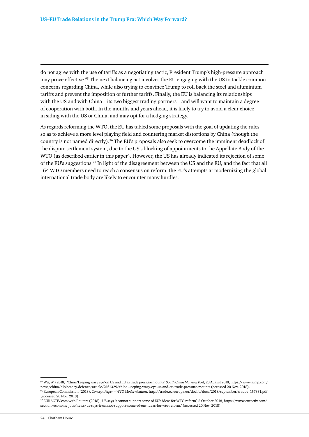do not agree with the use of tariffs as a negotiating tactic, President Trump's high-pressure approach may prove effective.<sup>95</sup> The next balancing act involves the EU engaging with the US to tackle common concerns regarding China, while also trying to convince Trump to roll back the steel and aluminium tariffs and prevent the imposition of further tariffs. Finally, the EU is balancing its relationships with the US and with China – its two biggest trading partners – and will want to maintain a degree of cooperation with both. In the months and years ahead, it is likely to try to avoid a clear choice in siding with the US or China, and may opt for a hedging strategy.

As regards reforming the WTO, the EU has tabled some proposals with the goal of updating the rules so as to achieve a more level playing field and countering market distortions by China (though the country is not named directly).<sup>96</sup> The EU's proposals also seek to overcome the imminent deadlock of the dispute settlement system, due to the US's blocking of appointments to the Appellate Body of the WTO (as described earlier in this paper). However, the US has already indicated its rejection of some of the EU's suggestions.97 In light of the disagreement between the US and the EU, and the fact that all 164 WTO members need to reach a consensus on reform, the EU's attempts at modernizing the global international trade body are likely to encounter many hurdles.

<sup>95</sup> Wu, W. (2018), 'China 'keeping wary eye' on US and EU as trade pressure mounts', *South China Morning Post*, 28 August 2018, [https://www.scmp.com/](https://www.scmp.com/%0anews/china/diplomacy-defence/article/2161329/china-keeping-wary-eye-us-and-eu-trade-pressure-mounts) [news/china/diplomacy-defence/article/2161329/china-keeping-wary-eye-us-and-eu-trade-pressure-mounts](https://www.scmp.com/%0anews/china/diplomacy-defence/article/2161329/china-keeping-wary-eye-us-and-eu-trade-pressure-mounts) (accessed 20 Nov. 2018). 96 European Commission (2018), *Concept Paper – WTO Modernisation*, [http://trade.ec.europa.eu/doclib/docs/2018/september/tradoc\\_157331.pdf](http://trade.ec.europa.eu/doclib/docs/2018/september/tradoc_157331.pdf) (accessed 20 Nov. 2018).

<sup>97</sup> EURACTIV.com with Reuters (2018), 'US says it cannot support some of EU's ideas for WTO reform', 5 October 2018, [https://www.euractiv.com/](https://www.euractiv.com/%0asection/economy-jobs/news/us-says-it-cannot-support-some-of-eus-ideas-for-wto-reform/) [section/economy-jobs/news/us-says-it-cannot-support-some-of-eus-ideas-for-wto-reform/](https://www.euractiv.com/%0asection/economy-jobs/news/us-says-it-cannot-support-some-of-eus-ideas-for-wto-reform/) (accessed 20 Nov. 2018).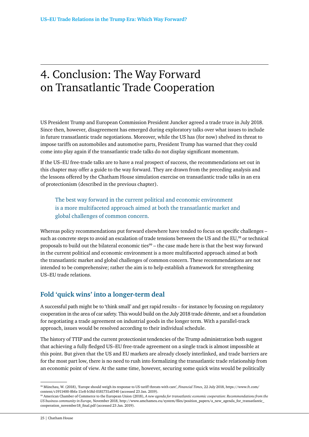## <span id="page-25-0"></span>4. Conclusion: The Way Forward on Transatlantic Trade Cooperation

US President Trump and European Commission President Juncker agreed a trade truce in July 2018. Since then, however, disagreement has emerged during exploratory talks over what issues to include in future transatlantic trade negotiations. Moreover, while the US has (for now) shelved its threat to impose tariffs on automobiles and automotive parts, President Trump has warned that they could come into play again if the transatlantic trade talks do not display significant momentum.

If the US–EU free-trade talks are to have a real prospect of success, the recommendations set out in this chapter may offer a guide to the way forward. They are drawn from the preceding analysis and the lessons offered by the Chatham House simulation exercise on transatlantic trade talks in an era of protectionism (described in the previous chapter).

The best way forward in the current political and economic environment is a more multifaceted approach aimed at both the transatlantic market and global challenges of common concern.

Whereas policy recommendations put forward elsewhere have tended to focus on specific challenges – such as concrete steps to avoid an escalation of trade tensions between the US and the EU,<sup>98</sup> or technical proposals to build out the bilateral economic ties<sup>99</sup> – the case made here is that the best way forward in the current political and economic environment is a more multifaceted approach aimed at both the transatlantic market and global challenges of common concern. These recommendations are not intended to be comprehensive; rather the aim is to help establish a framework for strengthening US–EU trade relations.

### **Fold 'quick wins' into a longer-term deal**

A successful path might be to 'think small' and get rapid results – for instance by focusing on regulatory cooperation in the area of car safety. This would build on the July 2018 trade détente, and set a foundation for negotiating a trade agreement on industrial goods in the longer term. With a parallel-track approach, issues would be resolved according to their individual schedule.

The history of TTIP and the current protectionist tendencies of the Trump administration both suggest that achieving a fully fledged US–EU free-trade agreement on a single track is almost impossible at this point. But given that the US and EU markets are already closely interlinked, and trade barriers are for the most part low, there is no need to rush into formalizing the transatlantic trade relationship from an economic point of view. At the same time, however, securing some quick wins would be politically

<sup>98</sup> Münchau, W. (2018), 'Europe should weigh its response to US tariff threats with care', *Financial Times*, 22 July 2018, [https://www.ft.com/](https://www.ft.com/%0acontent/c1911400-8bfa-11e8-b18d-0181731a0340) [content/c1911400-8bfa-11e8-b18d-0181731a0340](https://www.ft.com/%0acontent/c1911400-8bfa-11e8-b18d-0181731a0340) (accessed 23 Jan. 2019).

<sup>99</sup> American Chamber of Commerce to the European Union (2018), *A new agenda for transatlantic economic cooperation: Recommendations from the US business community in Europe,* November 2018, [http://www.amchameu.eu/system/files/position\\_papers/a\\_new\\_agenda\\_for\\_transatlantic\\_](http://www.amchameu.eu/system/files/position_papers/a_new_agenda_for_transatlantic_cooperation_november18_final.pdf) [cooperation\\_november18\\_final.pdf](http://www.amchameu.eu/system/files/position_papers/a_new_agenda_for_transatlantic_cooperation_november18_final.pdf) (accessed 23 Jan. 2019).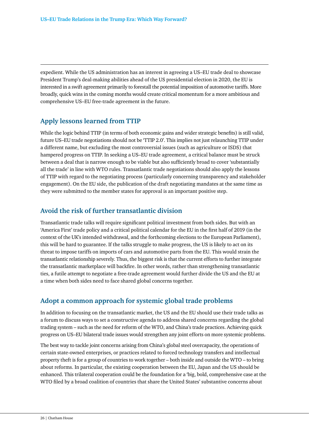expedient. While the US administration has an interest in agreeing a US–EU trade deal to showcase President Trump's deal-making abilities ahead of the US presidential election in 2020, the EU is interested in a swift agreement primarily to forestall the potential imposition of automotive tariffs. More broadly, quick wins in the coming months would create critical momentum for a more ambitious and comprehensive US–EU free-trade agreement in the future.

#### **Apply lessons learned from TTIP**

While the logic behind TTIP (in terms of both economic gains and wider strategic benefits) is still valid, future US–EU trade negotiations should not be 'TTIP 2.0'. This implies not just relaunching TTIP under a different name, but excluding the most controversial issues (such as agriculture or ISDS) that hampered progress on TTIP. In seeking a US–EU trade agreement, a critical balance must be struck between a deal that is narrow enough to be viable but also sufficiently broad to cover 'substantially all the trade' in line with WTO rules. Transatlantic trade negotiations should also apply the lessons of TTIP with regard to the negotiating process (particularly concerning transparency and stakeholder engagement). On the EU side, the publication of the draft negotiating mandates at the same time as they were submitted to the member states for approval is an important positive step.

#### **Avoid the risk of further transatlantic division**

Transatlantic trade talks will require significant political investment from both sides. But with an 'America First' trade policy and a critical political calendar for the EU in the first half of 2019 (in the context of the UK's intended withdrawal, and the forthcoming elections to the European Parliament), this will be hard to guarantee. If the talks struggle to make progress, the US is likely to act on its threat to impose tariffs on imports of cars and automotive parts from the EU. This would strain the transatlantic relationship severely. Thus, the biggest risk is that the current efforts to further integrate the transatlantic marketplace will backfire. In other words, rather than strengthening transatlantic ties, a futile attempt to negotiate a free-trade agreement would further divide the US and the EU at a time when both sides need to face shared global concerns together.

#### **Adopt a common approach for systemic global trade problems**

In addition to focusing on the transatlantic market, the US and the EU should use their trade talks as a forum to discuss ways to set a constructive agenda to address shared concerns regarding the global trading system – such as the need for reform of the WTO, and China's trade practices. Achieving quick progress on US–EU bilateral trade issues would strengthen any joint efforts on more systemic problems.

The best way to tackle joint concerns arising from China's global steel overcapacity, the operations of certain state-owned enterprises, or practices related to forced technology transfers and intellectual property theft is for a group of countries to work together – both inside and outside the WTO – to bring about reforms. In particular, the existing cooperation between the EU, Japan and the US should be enhanced. This trilateral cooperation could be the foundation for a 'big, bold, comprehensive case at the WTO filed by a broad coalition of countries that share the United States' substantive concerns about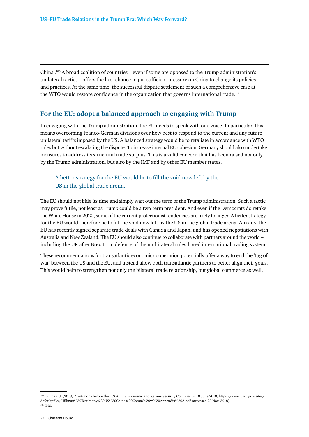China'.100 A broad coalition of countries – even if some are opposed to the Trump administration's unilateral tactics – offers the best chance to put sufficient pressure on China to change its policies and practices. At the same time, the successful dispute settlement of such a comprehensive case at the WTO would restore confidence in the organization that governs international trade.<sup>101</sup>

#### **For the EU: adopt a balanced approach to engaging with Trump**

In engaging with the Trump administration, the EU needs to speak with one voice. In particular, this means overcoming Franco-German divisions over how best to respond to the current and any future unilateral tariffs imposed by the US. A balanced strategy would be to retaliate in accordance with WTO rules but without escalating the dispute. To increase internal EU cohesion, Germany should also undertake measures to address its structural trade surplus. This is a valid concern that has been raised not only by the Trump administration, but also by the IMF and by other EU member states.

#### A better strategy for the EU would be to fill the void now left by the US in the global trade arena.

The EU should not bide its time and simply wait out the term of the Trump administration. Such a tactic may prove futile, not least as Trump could be a two-term president. And even if the Democrats do retake the White House in 2020, some of the current protectionist tendencies are likely to linger. A better strategy for the EU would therefore be to fill the void now left by the US in the global trade arena. Already, the EU has recently signed separate trade deals with Canada and Japan, and has opened negotiations with Australia and New Zealand. The EU should also continue to collaborate with partners around the world – including the UK after Brexit – in defence of the multilateral rules-based international trading system.

These recommendations for transatlantic economic cooperation potentially offer a way to end the 'tug of war' between the US and the EU, and instead allow both transatlantic partners to better align their goals. This would help to strengthen not only the bilateral trade relationship, but global commerce as well.

<sup>100</sup> Hillman, J. (2018), 'Testimony before the U.S.-China Economic and Review Security Commission', 8 June 2018, [https://www.uscc.gov/sites/](https://www.uscc.gov/sites/default/files/Hillman%20Testimony%20US%20China%20Comm%20w%20Appendix%20A.pdf) [default/files/Hillman%20Testimony%20US%20China%20Comm%20w%20Appendix%20A.pdf](https://www.uscc.gov/sites/default/files/Hillman%20Testimony%20US%20China%20Comm%20w%20Appendix%20A.pdf) (accessed 20 Nov. 2018).  $101$  Ibid.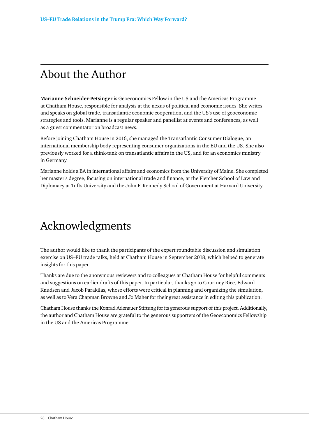# <span id="page-28-0"></span>About the Author

**Marianne Schneider-Petsinger** is Geoeconomics Fellow in the US and the Americas Programme at Chatham House, responsible for analysis at the nexus of political and economic issues. She writes and speaks on global trade, transatlantic economic cooperation, and the US's use of geoeconomic strategies and tools. Marianne is a regular speaker and panellist at events and conferences, as well as a guest commentator on broadcast news.

Before joining Chatham House in 2016, she managed the Transatlantic Consumer Dialogue, an international membership body representing consumer organizations in the EU and the US. She also previously worked for a think-tank on transatlantic affairs in the US, and for an economics ministry in Germany.

Marianne holds a BA in international affairs and economics from the University of Maine. She completed her master's degree, focusing on international trade and finance, at the Fletcher School of Law and Diplomacy at Tufts University and the John F. Kennedy School of Government at Harvard University.

# Acknowledgments

The author would like to thank the participants of the expert roundtable discussion and simulation exercise on US–EU trade talks, held at Chatham House in September 2018, which helped to generate insights for this paper.

Thanks are due to the anonymous reviewers and to colleagues at Chatham House for helpful comments and suggestions on earlier drafts of this paper. In particular, thanks go to Courtney Rice, Edward Knudsen and Jacob Parakilas, whose efforts were critical in planning and organizing the simulation, as well as to Vera Chapman Browne and Jo Maher for their great assistance in editing this publication.

Chatham House thanks the Konrad Adenauer Stiftung for its generous support of this project. Additionally, the author and Chatham House are grateful to the generous supporters of the Geoeconomics Fellowship in the US and the Americas Programme.